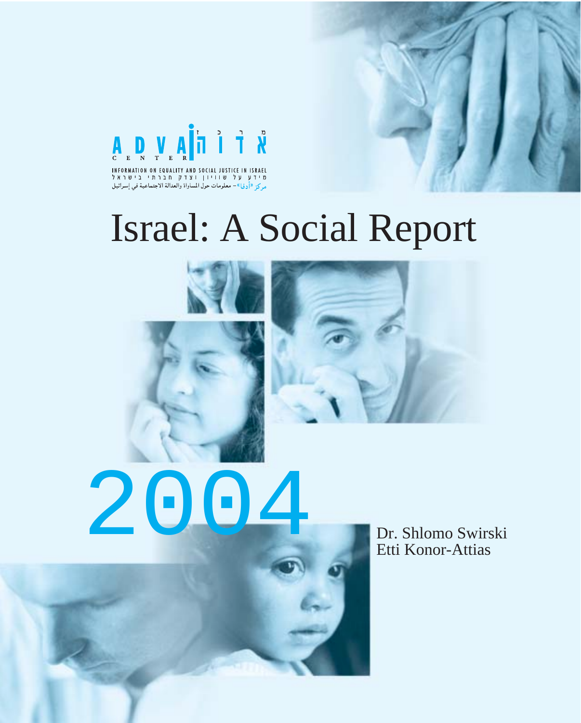

INFORMATION ON EQUALITY AND SOCIAL JUSTICE IN ISRAEL מידע על שוויון וצדק חברתי בישראל م كن «أرفيا»- معلومات حول المساواة والعدالة الاجتماعية في إسرائيل

# Israel: A Social Report





2004 Dr. Shlomo Swirski

Etti Konor-Attias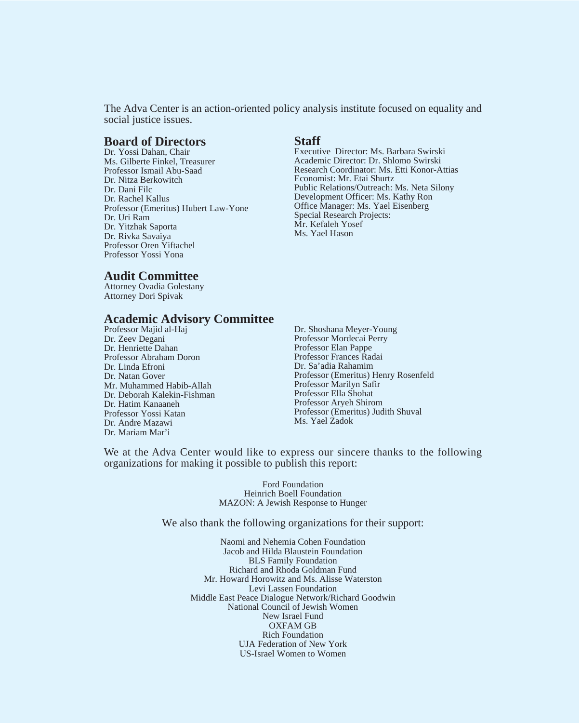The Adva Center is an action-oriented policy analysis institute focused on equality and social justice issues.

#### **Board of Directors**

Dr. Yossi Dahan, Chair Ms. Gilberte Finkel, Treasurer Professor Ismail Abu-Saad Dr. Nitza Berkowitch Dr. Dani Filc Dr. Rachel Kallus Professor (Emeritus) Hubert Law-Yone Dr. Uri Ram Dr. Yitzhak Saporta Dr. Rivka Savaiya Professor Oren Yiftachel Professor Yossi Yona

#### **Staff**

Executive Director: Ms. Barbara Swirski Academic Director: Dr. Shlomo Swirski Research Coordinator: Ms. Etti Konor-Attias Economist: Mr. Etai Shurtz Public Relations/Outreach: Ms. Neta Silony Development Officer: Ms. Kathy Ron Office Manager: Ms. Yael Eisenberg Special Research Projects: Mr. Kefaleh Yosef Ms. Yael Hason

#### **Audit Committee**

Attorney Ovadia Golestany Attorney Dori Spivak

#### **Academic Advisory Committee**

Professor Majid al-Haj Dr. Zeev Degani Dr. Henriette Dahan Professor Abraham Doron Dr. Linda Efroni Dr. Natan Gover Mr. Muhammed Habib-Allah Dr. Deborah Kalekin-Fishman Dr. Hatim Kanaaneh Professor Yossi Katan Dr. Andre Mazawi Dr. Mariam Mar'i

Dr. Shoshana Meyer-Young Professor Mordecai Perry Professor Elan Pappe Professor Frances Radai Dr. Sa'adia Rahamim Professor (Emeritus) Henry Rosenfeld Professor Marilyn Safir Professor Ella Shohat Professor Aryeh Shirom Professor (Emeritus) Judith Shuval Ms. Yael Zadok

We at the Adva Center would like to express our sincere thanks to the following organizations for making it possible to publish this report:

> Ford Foundation Heinrich Boell Foundation MAZON: A Jewish Response to Hunger

We also thank the following organizations for their support:

Naomi and Nehemia Cohen Foundation Jacob and Hilda Blaustein Foundation BLS Family Foundation Richard and Rhoda Goldman Fund Mr. Howard Horowitz and Ms. Alisse Waterston Levi Lassen Foundation Middle East Peace Dialogue Network/Richard Goodwin National Council of Jewish Women New Israel Fund OXFAM GB Rich Foundation UJA Federation of New York US-Israel Women to Women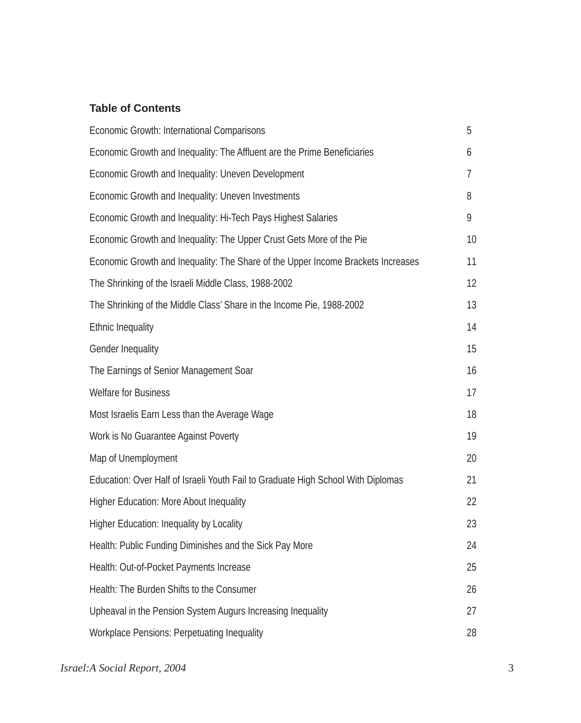#### **Table of Contents**

| Economic Growth: International Comparisons                                       | 5  |
|----------------------------------------------------------------------------------|----|
| Economic Growth and Inequality: The Affluent are the Prime Beneficiaries         | 6  |
| Economic Growth and Inequality: Uneven Development                               | 7  |
| Economic Growth and Inequality: Uneven Investments                               | 8  |
| Economic Growth and Inequality: Hi-Tech Pays Highest Salaries                    | 9  |
| Economic Growth and Inequality: The Upper Crust Gets More of the Pie             | 10 |
| Economic Growth and Inequality: The Share of the Upper Income Brackets Increases | 11 |
| The Shrinking of the Israeli Middle Class, 1988-2002                             | 12 |
| The Shrinking of the Middle Class' Share in the Income Pie, 1988-2002            | 13 |
| <b>Ethnic Inequality</b>                                                         | 14 |
| <b>Gender Inequality</b>                                                         | 15 |
| The Earnings of Senior Management Soar                                           | 16 |
| <b>Welfare for Business</b>                                                      | 17 |
| Most Israelis Earn Less than the Average Wage                                    | 18 |
| Work is No Guarantee Against Poverty                                             | 19 |
| Map of Unemployment                                                              | 20 |
| Education: Over Half of Israeli Youth Fail to Graduate High School With Diplomas | 21 |
| <b>Higher Education: More About Inequality</b>                                   | 22 |
| <b>Higher Education: Inequality by Locality</b>                                  | 23 |
| Health: Public Funding Diminishes and the Sick Pay More                          | 24 |
| Health: Out-of-Pocket Payments Increase                                          | 25 |
| Health: The Burden Shifts to the Consumer                                        | 26 |
| Upheaval in the Pension System Augurs Increasing Inequality                      | 27 |
| <b>Workplace Pensions: Perpetuating Inequality</b>                               | 28 |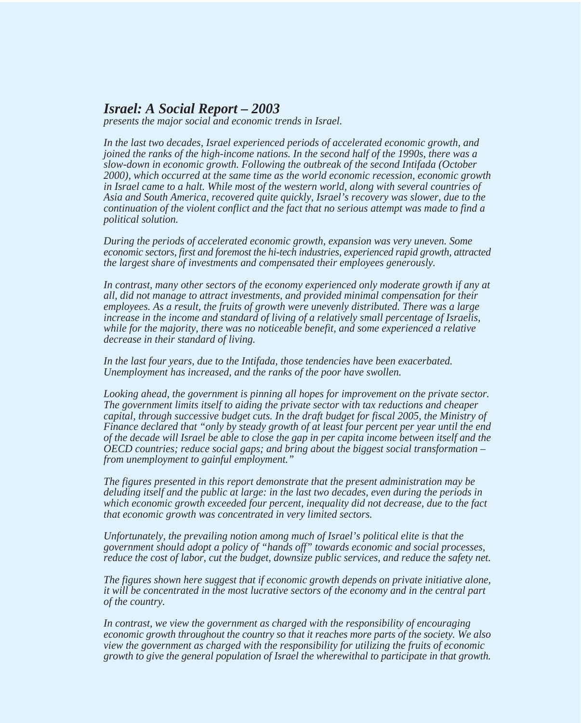#### *Israel: A Social Report – 2003*

*presents the major social and economic trends in Israel.*

*In the last two decades, Israel experienced periods of accelerated economic growth, and joined the ranks of the high-income nations. In the second half of the 1990s, there was a slow-down in economic growth. Following the outbreak of the second Intifada (October 2000), which occurred at the same time as the world economic recession, economic growth in Israel came to a halt. While most of the western world, along with several countries of Asia and South America, recovered quite quickly, Israel's recovery was slower, due to the continuation of the violent conflict and the fact that no serious attempt was made to find a political solution.*

*During the periods of accelerated economic growth, expansion was very uneven. Some economic sectors, first and foremost the hi-tech industries, experienced rapid growth, attracted the largest share of investments and compensated their employees generously.*

*In contrast, many other sectors of the economy experienced only moderate growth if any at all, did not manage to attract investments, and provided minimal compensation for their employees. As a result, the fruits of growth were unevenly distributed. There was a large increase in the income and standard of living of a relatively small percentage of Israelis, while for the majority, there was no noticeable benefit, and some experienced a relative decrease in their standard of living.*

*In the last four years, due to the Intifada, those tendencies have been exacerbated. Unemployment has increased, and the ranks of the poor have swollen.*

*Looking ahead, the government is pinning all hopes for improvement on the private sector. The government limits itself to aiding the private sector with tax reductions and cheaper capital, through successive budget cuts. In the draft budget for fiscal 2005, the Ministry of Finance declared that "only by steady growth of at least four percent per year until the end of the decade will Israel be able to close the gap in per capita income between itself and the OECD countries; reduce social gaps; and bring about the biggest social transformation – from unemployment to gainful employment."*

*The figures presented in this report demonstrate that the present administration may be deluding itself and the public at large: in the last two decades, even during the periods in which economic growth exceeded four percent, inequality did not decrease, due to the fact that economic growth was concentrated in very limited sectors.*

*Unfortunately, the prevailing notion among much of Israel's political elite is that the government should adopt a policy of "hands off" towards economic and social processes, reduce the cost of labor, cut the budget, downsize public services, and reduce the safety net.*

*The figures shown here suggest that if economic growth depends on private initiative alone, it will be concentrated in the most lucrative sectors of the economy and in the central part of the country.*

*In contrast, we view the government as charged with the responsibility of encouraging economic growth throughout the country so that it reaches more parts of the society. We also view the government as charged with the responsibility for utilizing the fruits of economic growth to give the general population of Israel the wherewithal to participate in that growth.*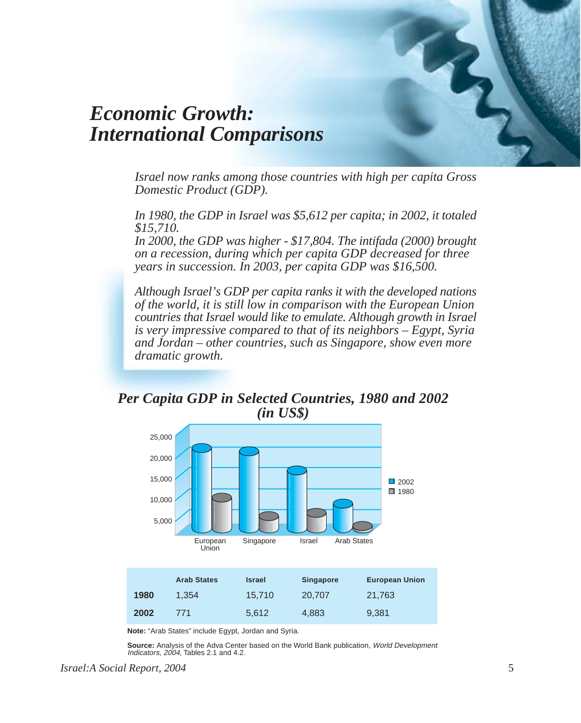## *Economic Growth: International Comparisons*

*Israel now ranks among those countries with high per capita Gross Domestic Product (GDP).*

*In 1980, the GDP in Israel was \$5,612 per capita; in 2002, it totaled \$15,710.*

*In 2000, the GDP was higher - \$17,804. The intifada (2000) brought on a recession, during which per capita GDP decreased for three years in succession. In 2003, per capita GDP was \$16,500.*

*Although Israel's GDP per capita ranks it with the developed nations of the world, it is still low in comparison with the European Union countries that Israel would like to emulate. Although growth in Israel is very impressive compared to that of its neighbors – Egypt, Syria and Jordan – other countries, such as Singapore, show even more dramatic growth.*

*Per Capita GDP in Selected Countries, 1980 and 2002 (in US\$)*



**Note:** "Arab States" include Egypt, Jordan and Syria.

**Source:** Analysis of the Adva Center based on the World Bank publication, World Development Indicators, 2004, Tables 2.1 and 4.2.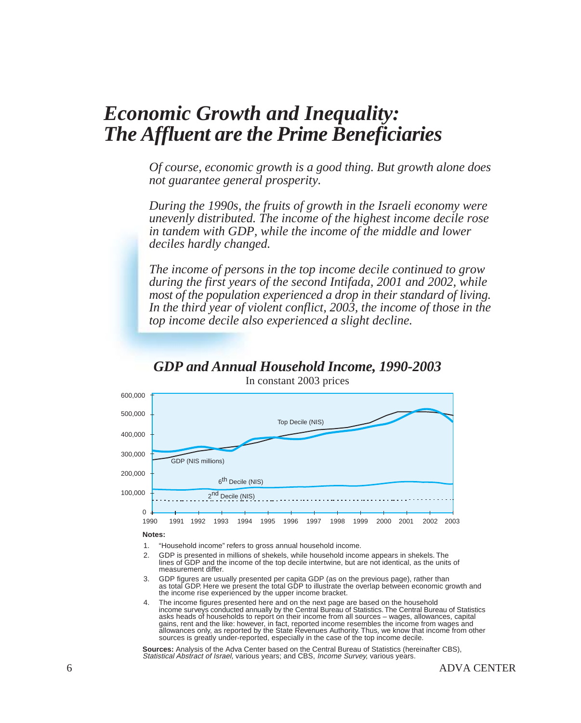### *Economic Growth and Inequality: The Affluent are the Prime Beneficiaries*

*Of course, economic growth is a good thing. But growth alone does not guarantee general prosperity.*

*During the 1990s, the fruits of growth in the Israeli economy were unevenly distributed. The income of the highest income decile rose in tandem with GDP, while the income of the middle and lower deciles hardly changed.*

*The income of persons in the top income decile continued to grow during the first years of the second Intifada, 2001 and 2002, while most of the population experienced a drop in their standard of living. In the third year of violent conflict, 2003, the income of those in the top income decile also experienced a slight decline.*

### *GDP and Annual Household Income, 1990-2003*



In constant 2003 prices

#### **Notes:**

- "Household income" refers to gross annual household income. 1.
- GDP is presented in millions of shekels, while household income appears in shekels. The lines of GDP and the income of the top decile intertwine, but are not identical, as the units of measurement differ.  $\mathcal{D}$
- GDP figures are usually presented per capita GDP (as on the previous page), rather than as total GDP. Here we present the total GDP to illustrate the overlap between economic growth and the income rise experienced by the upper income bracket. 3.
- The income figures presented here and on the next page are based on the household income surveys conducted annually by the Central Bureau of Statistics. The Central Bureau of Statistics asks heads of households to report on their income from all sources – wages, allowances, capital gains, rent and the like: however, in fact, reported income resembles the income from wages and allowances only, as reported by the State Revenues Authority. Thus, we know that income from other sources is greatly under-reported, especially in the case of the top income decile. 4.

**Sources:** Analysis of the Adva Center based on the Central Bureau of Statistics (hereinafter CBS), Statistical Abstract of Israel, various years; and CBS, Income Survey, various years.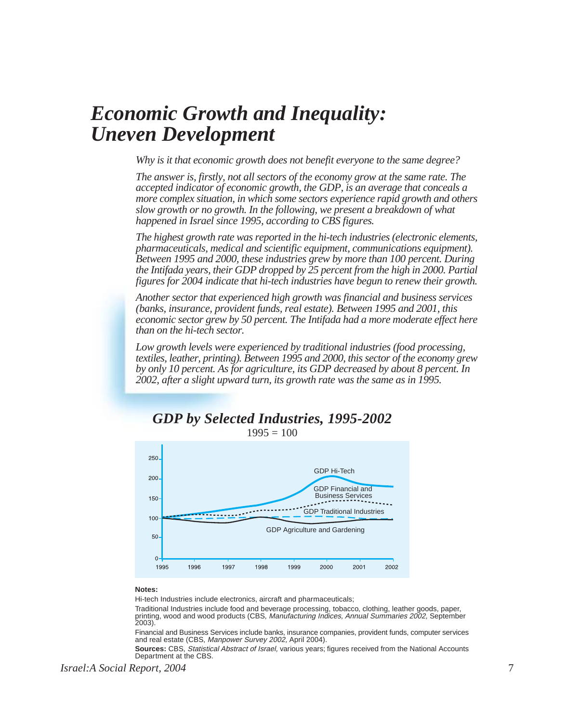## *Economic Growth and Inequality: Uneven Development*

*Why is it that economic growth does not benefit everyone to the same degree?*

*The answer is, firstly, not all sectors of the economy grow at the same rate. The accepted indicator of economic growth, the GDP, is an average that conceals a more complex situation, in which some sectors experience rapid growth and others slow growth or no growth. In the following, we present a breakdown of what happened in Israel since 1995, according to CBS figures.*

*The highest growth rate was reported in the hi-tech industries (electronic elements, pharmaceuticals, medical and scientific equipment, communications equipment). Between 1995 and 2000, these industries grew by more than 100 percent. During the Intifada years, their GDP dropped by 25 percent from the high in 2000. Partial figures for 2004 indicate that hi-tech industries have begun to renew their growth.*

*Another sector that experienced high growth was financial and business services (banks, insurance, provident funds, real estate). Between 1995 and 2001, this economic sector grew by 50 percent. The Intifada had a more moderate effect here than on the hi-tech sector.*

*Low growth levels were experienced by traditional industries (food processing, textiles, leather, printing). Between 1995 and 2000, this sector of the economy grew by only 10 percent. As for agriculture, its GDP decreased by about 8 percent. In 2002, after a slight upward turn, its growth rate was the same as in 1995.*



#### *GDP by Selected Industries, 1995-2002*  $1995 = 100$

#### **Notes:**

Hi-tech Industries include electronics, aircraft and pharmaceuticals;

Traditional Industries include food and beverage processing, tobacco, clothing, leather goods, paper, printing, wood and wood products (CBS, *Manufacturing Indices, Annual Summaries 2002,* September<br>2003).

Financial and Business Services include banks, insurance companies, provident funds, computer services<br>and real estate (CBS, *Manpower Survey 2002,* April 2004).

**Sources:** CBS, Statistical Abstract of Israel, various years: figures received from the National Accounts Department at the CBS.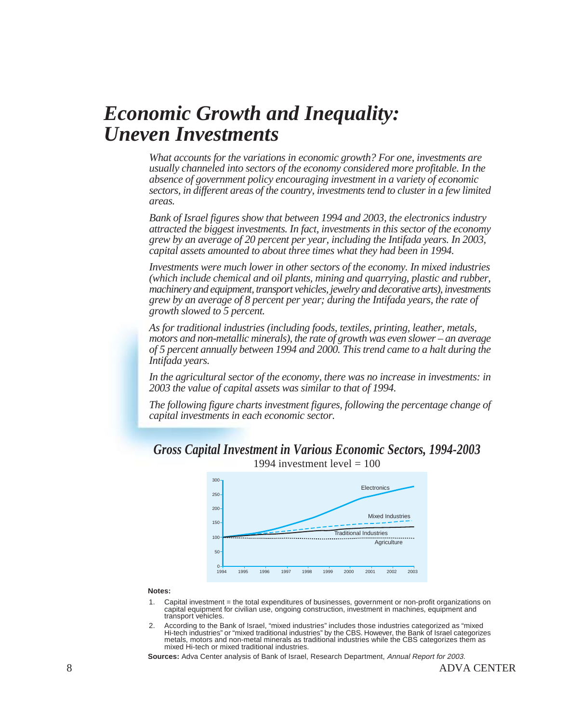## *Economic Growth and Inequality: Uneven Investments*

*What accounts for the variations in economic growth? For one, investments are usually channeled into sectors of the economy considered more profitable. In the absence of government policy encouraging investment in a variety of economic sectors, in different areas of the country, investments tend to cluster in a few limited areas.*

*Bank of Israel figures show that between 1994 and 2003, the electronics industry attracted the biggest investments. In fact, investments in this sector of the economy grew by an average of 20 percent per year, including the Intifada years. In 2003, capital assets amounted to about three times what they had been in 1994.*

*Investments were much lower in other sectors of the economy. In mixed industries (which include chemical and oil plants, mining and quarrying, plastic and rubber, machinery and equipment, transport vehicles, jewelry and decorative arts), investments grew by an average of 8 percent per year; during the Intifada years, the rate of growth slowed to 5 percent.*

*As for traditional industries (including foods, textiles, printing, leather, metals, motors and non-metallic minerals), the rate of growth was even slower – an average of 5 percent annually between 1994 and 2000. This trend came to a halt during the Intifada years.*

*In the agricultural sector of the economy, there was no increase in investments: in 2003 the value of capital assets was similar to that of 1994.*

*The following figure charts investment figures, following the percentage change of capital investments in each economic sector.*





1994 investment level  $= 100$ 

#### **Notes:**

- Capital investment = the total expenditures of businesses, government or non-profit organizations on capital equipment for civilian use, ongoing construction, investment in machines, equipment and transport vehicles. 1.
- According to the Bank of Israel, "mixed industries" includes those industries categorized as "mixed Hi-tech industries" or "mixed traditional industries" by the CBS. However, the Bank of Israel categorizes metals, motors and non-metal minerals as traditional industries while the CBS categorizes them as mixed Hi-tech or mixed traditional industries. 2.

**Sources:** Adva Center analysis of Bank of Israel, Research Department, Annual Report for 2003.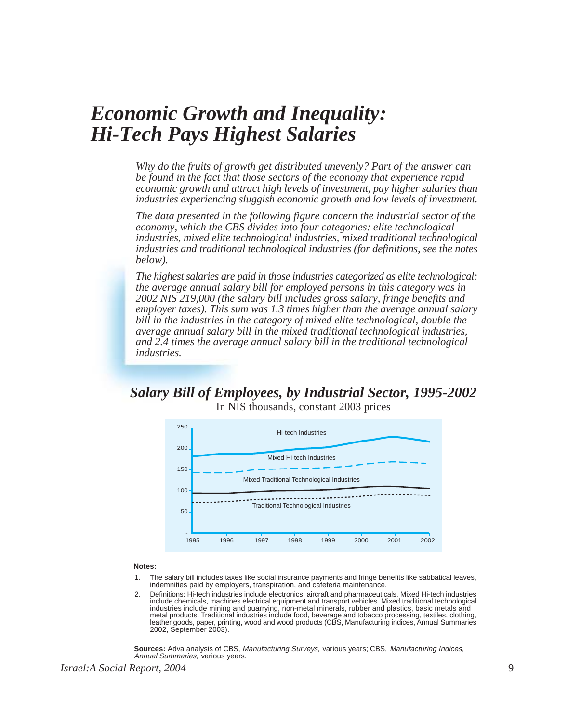### *Economic Growth and Inequality: Hi-Tech Pays Highest Salaries*

*Why do the fruits of growth get distributed unevenly? Part of the answer can be found in the fact that those sectors of the economy that experience rapid economic growth and attract high levels of investment, pay higher salaries than industries experiencing sluggish economic growth and low levels of investment.*

*The data presented in the following figure concern the industrial sector of the economy, which the CBS divides into four categories: elite technological industries, mixed elite technological industries, mixed traditional technological industries and traditional technological industries (for definitions, see the notes below).*

*The highest salaries are paid in those industries categorized as elite technological: the average annual salary bill for employed persons in this category was in 2002 NIS 219,000 (the salary bill includes gross salary, fringe benefits and employer taxes). This sum was 1.3 times higher than the average annual salary bill in the industries in the category of mixed elite technological, double the average annual salary bill in the mixed traditional technological industries, and 2.4 times the average annual salary bill in the traditional technological industries.*

### *Salary Bill of Employees, by Industrial Sector, 1995-2002*

In NIS thousands, constant 2003 prices



#### **Notes:**

- The salary bill includes taxes like social insurance payments and fringe benefits like sabbatical leaves, indemnities paid by employers, transpiration, and cafeteria maintenance. 1.
- Definitions: Hi-tech industries include electronics, aircraft and pharmaceuticals. Mixed Hi-tech industries include chemicals, machines electrical equipment and transport vehicles. Mixed traditional technological industries include mining and puarrying, non-metal minerals, rubber and plastics, basic metals and<br>metal products. Traditional industries include food, beverage and tobacco processing, textiles, clothing,<br>leather goods, pa 2002, September 2003).  $\mathcal{P}$

**Sources:** Adva analysis of CBS, Manufacturing Surveys, various years; CBS, Manufacturing Indices, Annual Summaries, various years.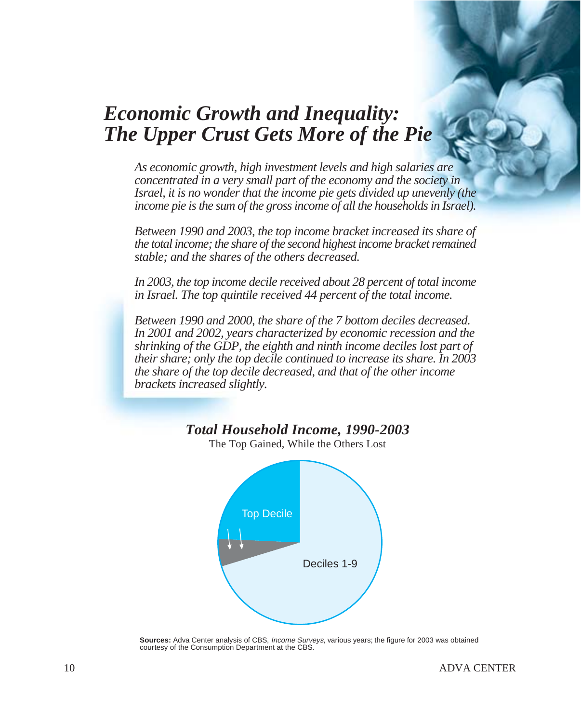## *Economic Growth and Inequality: The Upper Crust Gets More of the Pie*

*As economic growth, high investment levels and high salaries are concentrated in a very small part of the economy and the society in Israel, it is no wonder that the income pie gets divided up unevenly (the income pie is the sum of the gross income of all the households in Israel).*

*Between 1990 and 2003, the top income bracket increased its share of the total income; the share of the second highest income bracket remained stable; and the shares of the others decreased.*

*In 2003, the top income decile received about 28 percent of total income in Israel. The top quintile received 44 percent of the total income.*

*Between 1990 and 2000, the share of the 7 bottom deciles decreased. In 2001 and 2002, years characterized by economic recession and the shrinking of the GDP, the eighth and ninth income deciles lost part of their share; only the top decile continued to increase its share. In 2003 the share of the top decile decreased, and that of the other income brackets increased slightly.*

### *Total Household Income, 1990-2003*



The Top Gained, While the Others Lost

**Sources:** Adva Center analysis of CBS, Income Surveys, various years; the figure for 2003 was obtained courtesy of the Consumption Department at the CBS.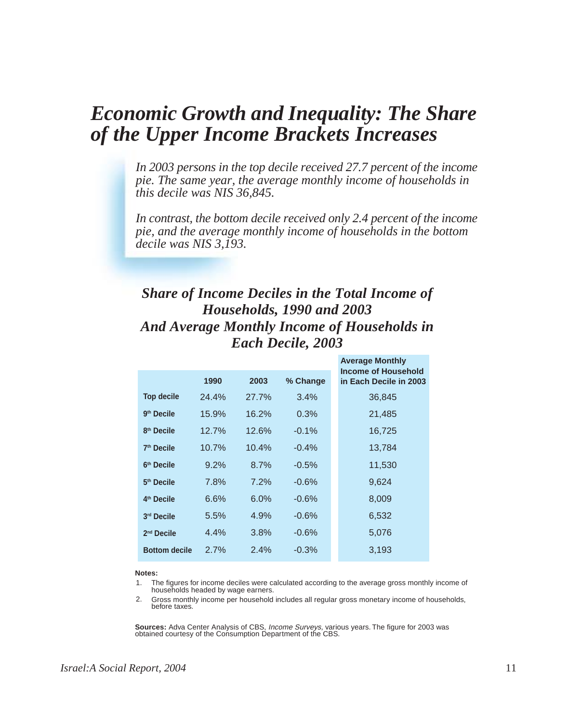### *Economic Growth and Inequality: The Share of the Upper Income Brackets Increases*

*In 2003 persons in the top decile received 27.7 percent of the income pie. The same year, the average monthly income of households in this decile was NIS 36,845.*

*In contrast, the bottom decile received only 2.4 percent of the income pie, and the average monthly income of households in the bottom decile was NIS 3,193.*

### *Share of Income Deciles in the Total Income of Households, 1990 and 2003 And Average Monthly Income of Households in Each Decile, 2003*

|                        |       |         |          | <b>Average Monthly</b>                        |
|------------------------|-------|---------|----------|-----------------------------------------------|
|                        | 1990  | 2003    | % Change | Income of Household<br>in Each Decile in 2003 |
| <b>Top decile</b>      | 24.4% | 27.7%   | 3.4%     | 36,845                                        |
| 9 <sup>th</sup> Decile | 15.9% | 16.2%   | 0.3%     | 21,485                                        |
| 8 <sup>th</sup> Decile | 12.7% | 12.6%   | $-0.1%$  | 16,725                                        |
| 7 <sup>th</sup> Decile | 10.7% | 10.4%   | $-0.4%$  | 13,784                                        |
| 6 <sup>th</sup> Decile | 9.2%  | 8.7%    | $-0.5%$  | 11,530                                        |
| 5 <sup>th</sup> Decile | 7.8%  | 7.2%    | $-0.6%$  | 9,624                                         |
| 4 <sup>th</sup> Decile | 6.6%  | $6.0\%$ | $-0.6%$  | 8,009                                         |
| 3rd Decile             | 5.5%  | 4.9%    | $-0.6%$  | 6,532                                         |
| $2nd$ Decile           | 4.4%  | 3.8%    | $-0.6%$  | 5,076                                         |
| <b>Bottom decile</b>   | 2.7%  | 2.4%    | $-0.3%$  | 3,193                                         |

#### **Notes:**

- The figures for income deciles were calculated according to the average gross monthly income of households headed by wage earners. 1.
- Gross monthly income per household includes all regular gross monetary income of households, before taxes. 2.

**Sources:** Adva Center Analysis of CBS, Income Surveys, various years. The figure for 2003 was obtained courtesy of the Consumption Department of the CBS.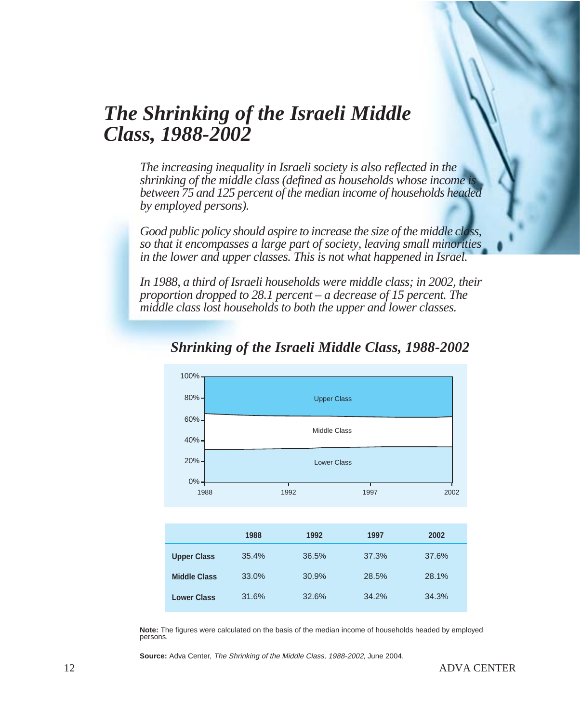## *The Shrinking of the Israeli Middle Class, 1988-2002*

*The increasing inequality in Israeli society is also reflected in the shrinking of the middle class (defined as households whose income is between 75 and 125 percent of the median income of households headed by employed persons).*

*Good public policy should aspire to increase the size of the middle class, so that it encompasses a large part of society, leaving small minorities in the lower and upper classes. This is not what happened in Israel.*

*In 1988, a third of Israeli households were middle class; in 2002, their proportion dropped to 28.1 percent – a decrease of 15 percent. The middle class lost households to both the upper and lower classes.*



### *Shrinking of the Israeli Middle Class, 1988-2002*

**Note:** The figures were calculated on the basis of the median income of households headed by employed persons.

**Source:** Adva Center, The Shrinking of the Middle Class, 1988-2002, June 2004.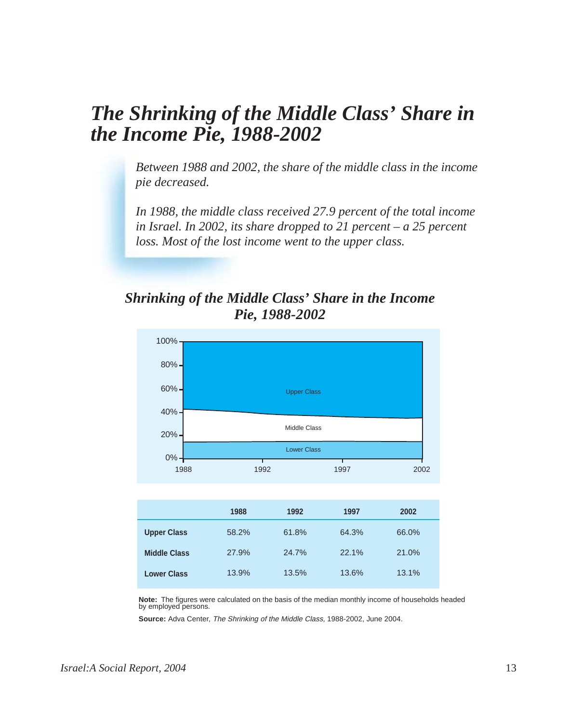## *The Shrinking of the Middle Class' Share in the Income Pie, 1988-2002*

*Between 1988 and 2002, the share of the middle class in the income pie decreased.*

*In 1988, the middle class received 27.9 percent of the total income in Israel. In 2002, its share dropped to 21 percent – a 25 percent loss. Most of the lost income went to the upper class.*

### *Shrinking of the Middle Class' Share in the Income Pie, 1988-2002*



|                     | 1988  | 1992  | 1997  | 2002  |
|---------------------|-------|-------|-------|-------|
| <b>Upper Class</b>  | 58.2% | 61.8% | 64.3% | 66.0% |
| <b>Middle Class</b> | 27.9% | 24.7% | 22.1% | 21.0% |
| <b>Lower Class</b>  | 13.9% | 13.5% | 13.6% | 13.1% |

**Note:** The figures were calculated on the basis of the median monthly income of households headed by employed persons.

**Source:** Adva Center, The Shrinking of the Middle Class, 1988-2002, June 2004.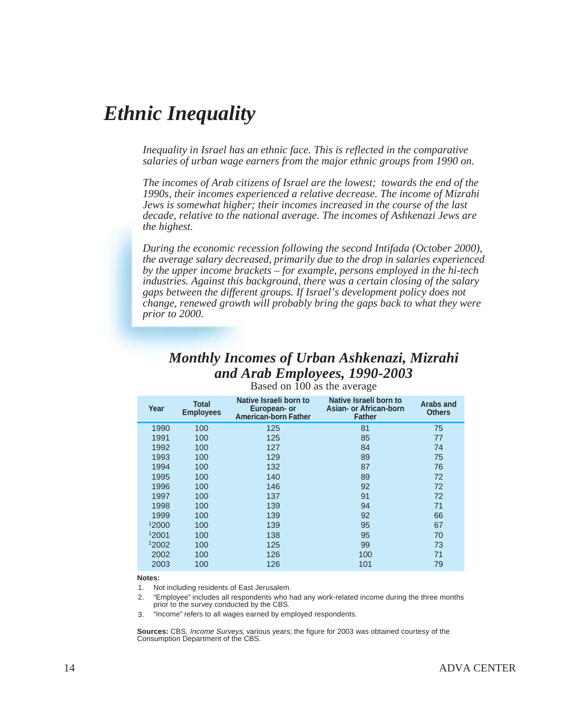## *Ethnic Inequality*

*Inequality in Israel has an ethnic face. This is reflected in the comparative salaries of urban wage earners from the major ethnic groups from 1990 on.*

*The incomes of Arab citizens of Israel are the lowest; towards the end of the 1990s, their incomes experienced a relative decrease. The income of Mizrahi Jews is somewhat higher; their incomes increased in the course of the last decade, relative to the national average. The incomes of Ashkenazi Jews are the highest.*

*During the economic recession following the second Intifada (October 2000), the average salary decreased, primarily due to the drop in salaries experienced by the upper income brackets – for example, persons employed in the hi-tech industries. Against this background, there was a certain closing of the salary gaps between the different groups. If Israel's development policy does not change, renewed growth will probably bring the gaps back to what they were prior to 2000.*

#### *Monthly Incomes of Urban Ashkenazi, Mizrahi and Arab Employees, 1990-2003*

| Year  | <b>Total</b><br><b>Employees</b> | Native Israeli born to<br>European- or<br><b>American-born Father</b> | Native Israeli born to<br><b>Asian- or African-born</b><br><b>Father</b> | Arabs and<br><b>Others</b> |
|-------|----------------------------------|-----------------------------------------------------------------------|--------------------------------------------------------------------------|----------------------------|
| 1990  | 100                              | 125                                                                   | 81                                                                       | 75                         |
| 1991  | 100                              | 125                                                                   | 85                                                                       | 77                         |
| 1992  | 100                              | 127                                                                   | 84                                                                       | 74                         |
| 1993  | 100                              | 129                                                                   | 89                                                                       | 75                         |
| 1994  | 100                              | 132                                                                   | 87                                                                       | 76                         |
| 1995  | 100                              | 140                                                                   | 89                                                                       | 72                         |
| 1996  | 100                              | 146                                                                   | 92                                                                       | 72                         |
| 1997  | 100                              | 137                                                                   | 91                                                                       | 72                         |
| 1998  | 100                              | 139                                                                   | 94                                                                       | 71                         |
| 1999  | 100                              | 139                                                                   | 92                                                                       | 66                         |
| 12000 | 100                              | 139                                                                   | 95                                                                       | 67                         |
| 12001 | 100                              | 138                                                                   | 95                                                                       | 70                         |
| 12002 | 100                              | 125                                                                   | 99                                                                       | 73                         |
| 2002  | 100                              | 126                                                                   | 100                                                                      | 71                         |
| 2003  | 100                              | 126                                                                   | 101                                                                      | 79                         |

Based on 100 as the average

#### **Notes:**

1. Not including residents of East Jerusalem.

"Employee" includes all respondents who had any work-related income during the three months prior to the survey conducted by the CBS. 2.

"Income" refers to all wages earned by employed respondents. 3.

**Sources:** CBS, Income Surveys, various years; the figure for 2003 was obtained courtesy of the Consumption Department of the CBS.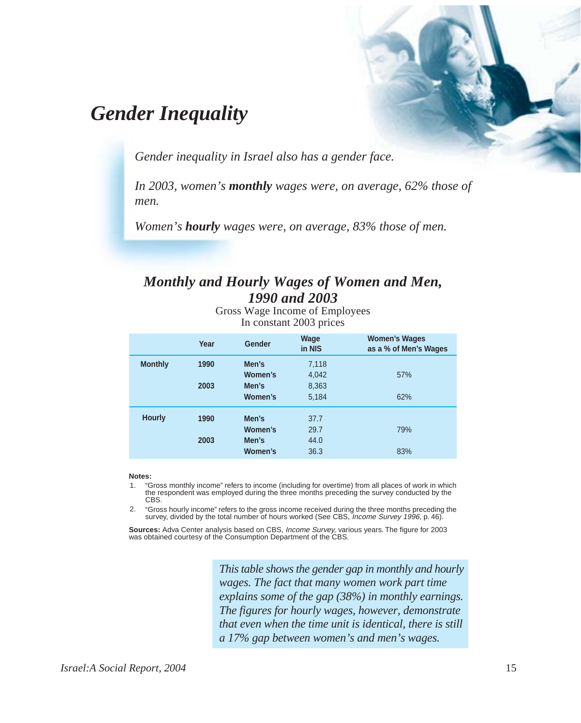## *Gender Inequality*

*Gender inequality in Israel also has a gender face.*

*In 2003, women's monthly wages were, on average, 62% those of men.*

*Women's hourly wages were, on average, 83% those of men.*

### *Monthly and Hourly Wages of Women and Men, 1990 and 2003*

Gross Wage Income of Employees In constant 2003 prices

|                | Year | Gender  | Wage<br>in NIS | <b>Women's Wages</b><br>as a % of Men's Wages |
|----------------|------|---------|----------------|-----------------------------------------------|
| <b>Monthly</b> | 1990 | Men's   | 7,118          |                                               |
|                |      | Women's | 4,042          | 57%                                           |
|                | 2003 | Men's   | 8,363          |                                               |
|                |      | Women's | 5,184          | 62%                                           |
| <b>Hourly</b>  | 1990 | Men's   | 37.7           |                                               |
|                |      | Women's | 29.7           | 79%                                           |
|                | 2003 | Men's   | 44.0           |                                               |
|                |      | Women's | 36.3           | 83%                                           |

#### **Notes:**

"Gross monthly income" refers to income (including for overtime) from all places of work in which the respondent was employed during the three months preceding the survey conducted by the CBS. 1.

"Gross hourly income" refers to the gross income received during the three months preceding the survey, divided by the total number of hours worked (See CBS, Income Survey 1996, p. 46). 2.

**Sources:** Adva Center analysis based on CBS, Income Survey, various years. The figure for 2003 was obtained courtesy of the Consumption Department of the CBS.

*This table shows the gender gap in monthly and hourly wages. The fact that many women work part time explains some of the gap (38%) in monthly earnings. The figures for hourly wages, however, demonstrate that even when the time unit is identical, there is still a 17% gap between women's and men's wages.*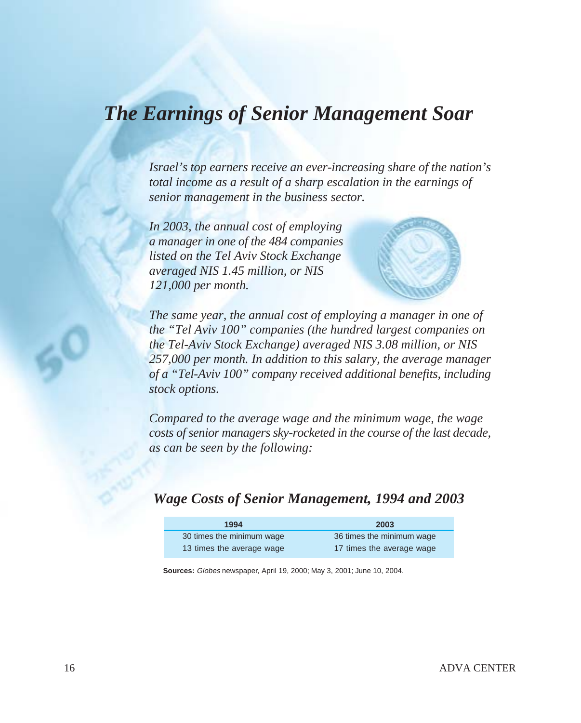## *The Earnings of Senior Management Soar*

*Israel's top earners receive an ever-increasing share of the nation's total income as a result of a sharp escalation in the earnings of senior management in the business sector.*

*In 2003, the annual cost of employing a manager in one of the 484 companies listed on the Tel Aviv Stock Exchange averaged NIS 1.45 million, or NIS 121,000 per month.*



*The same year, the annual cost of employing a manager in one of the "Tel Aviv 100" companies (the hundred largest companies on the Tel-Aviv Stock Exchange) averaged NIS 3.08 million, or NIS 257,000 per month. In addition to this salary, the average manager of a "Tel-Aviv 100" company received additional benefits, including stock options.*

*Compared to the average wage and the minimum wage, the wage costs of senior managers sky-rocketed in the course of the last decade, as can be seen by the following:*

### *Wage Costs of Senior Management, 1994 and 2003*

| 1994                      | 2003                      |
|---------------------------|---------------------------|
| 30 times the minimum wage | 36 times the minimum wage |
| 13 times the average wage | 17 times the average wage |

**Sources:** Globes newspaper, April 19, 2000; May 3, 2001; June 10, 2004.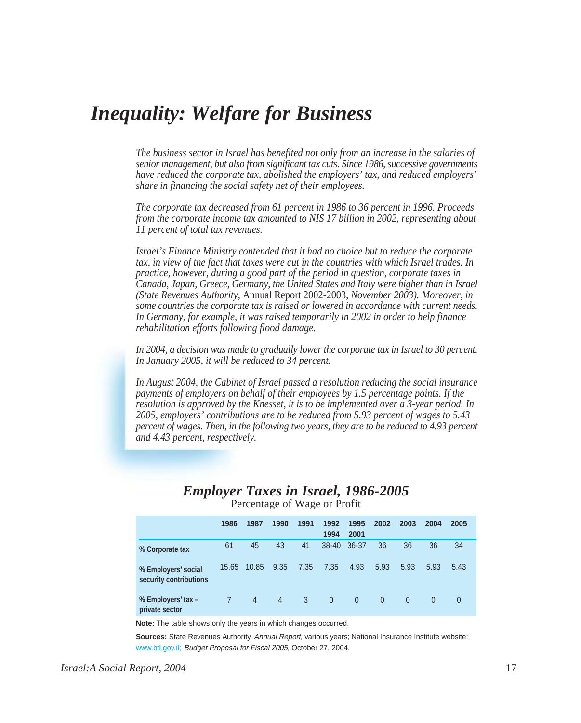## *Inequality: Welfare for Business*

*The business sector in Israel has benefited not only from an increase in the salaries of senior management, but also from significant tax cuts. Since 1986, successive governments have reduced the corporate tax, abolished the employers' tax, and reduced employers' share in financing the social safety net of their employees.*

*The corporate tax decreased from 61 percent in 1986 to 36 percent in 1996. Proceeds from the corporate income tax amounted to NIS 17 billion in 2002, representing about 11 percent of total tax revenues.*

*Israel's Finance Ministry contended that it had no choice but to reduce the corporate tax, in view of the fact that taxes were cut in the countries with which Israel trades. In practice, however, during a good part of the period in question, corporate taxes in Canada, Japan, Greece, Germany, the United States and Italy were higher than in Israel (State Revenues Authority,* Annual Report 2002-2003, *November 2003). Moreover, in some countries the corporate tax is raised or lowered in accordance with current needs. In Germany, for example, it was raised temporarily in 2002 in order to help finance rehabilitation efforts following flood damage.*

*In 2004, a decision was made to gradually lower the corporate tax in Israel to 30 percent. In January 2005, it will be reduced to 34 percent.*

*In August 2004, the Cabinet of Israel passed a resolution reducing the social insurance payments of employers on behalf of their employees by 1.5 percentage points. If the resolution is approved by the Knesset, it is to be implemented over a 3-year period. In 2005, employers' contributions are to be reduced from 5.93 percent of wages to 5.43 percent of wages. Then, in the following two years, they are to be reduced to 4.93 percent and 4.43 percent, respectively.*

### *Employer Taxes in Israel, 1986-2005*

|                                               | 1986  | 1987           | 1990           | 1991         | 1992<br>1994 | 1995<br>2001   | 2002     | 2003     | 2004     | 2005 |  |
|-----------------------------------------------|-------|----------------|----------------|--------------|--------------|----------------|----------|----------|----------|------|--|
| % Corporate tax                               | 61    | 45             | 43             | 41           | $38 - 40$    | 36-37          | 36       | 36       | 36       | 34   |  |
| % Employers' social<br>security contributions | 15.65 | 10.85          | 9.35           | 7.35         | 7.35         | 4.93           | 5.93     | 5.93     | 5.93     | 5.43 |  |
| % Employers' tax -<br>private sector          |       | $\overline{4}$ | $\overline{4}$ | $\mathbf{3}$ | $\mathbf{0}$ | $\overline{0}$ | $\Omega$ | $\theta$ | $\Omega$ | 0    |  |

Percentage of Wage or Profit

**Note:** The table shows only the years in which changes occurred.

**Sources:** State Revenues Authority, Annual Report, various years: National Insurance Institute website: www.btl.gov.il: Budget Proposal for Fiscal 2005, October 27, 2004.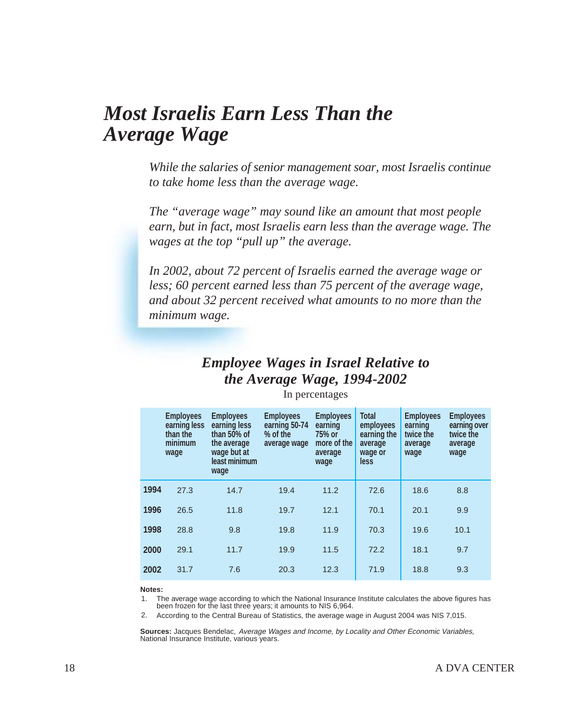## *Most Israelis Earn Less Than the Average Wage*

*While the salaries of senior management soar, most Israelis continue to take home less than the average wage.*

*The "average wage" may sound like an amount that most people earn, but in fact, most Israelis earn less than the average wage. The wages at the top "pull up" the average.*

*In 2002, about 72 percent of Israelis earned the average wage or less; 60 percent earned less than 75 percent of the average wage, and about 32 percent received what amounts to no more than the minimum wage.*

### *Employee Wages in Israel Relative to the Average Wage, 1994-2002*

|      | <b>Employees</b><br>earning less<br>than the<br>minimum<br>wage | <b>Employees</b><br>earning less<br>than 50% of<br>the average<br>wage but at<br>least minimum<br>wage | <b>Employees</b><br>earning 50-74<br>% of the<br>average wage | <b>Employees</b><br>earning<br>75% or<br>more of the<br>average<br>wage | <b>Total</b><br>employees<br>earning the<br>average<br>wage or<br>less | <b>Employees</b><br>earning<br>twice the<br>average<br>wage | <b>Employees</b><br>earning over<br>twice the<br>average<br>wage |
|------|-----------------------------------------------------------------|--------------------------------------------------------------------------------------------------------|---------------------------------------------------------------|-------------------------------------------------------------------------|------------------------------------------------------------------------|-------------------------------------------------------------|------------------------------------------------------------------|
| 1994 | 27.3                                                            | 14.7                                                                                                   | 19.4                                                          | 11.2                                                                    | 72.6                                                                   | 18.6                                                        | 8.8                                                              |
| 1996 | 26.5                                                            | 11.8                                                                                                   | 19.7                                                          | 12.1                                                                    | 70.1                                                                   | 20.1                                                        | 9.9                                                              |
| 1998 | 28.8                                                            | 9.8                                                                                                    | 19.8                                                          | 11.9                                                                    | 70.3                                                                   | 19.6                                                        | 10.1                                                             |
| 2000 | 29.1                                                            | 11.7                                                                                                   | 19.9                                                          | 11.5                                                                    | 72.2                                                                   | 18.1                                                        | 9.7                                                              |
| 2002 | 31.7                                                            | 7.6                                                                                                    | 20.3                                                          | 12.3                                                                    | 71.9                                                                   | 18.8                                                        | 9.3                                                              |

In percentages

#### **Notes:**

The average wage according to which the National Insurance Institute calculates the above figures has been frozen for the last three years; it amounts to NIS 6,964. 1.

According to the Central Bureau of Statistics, the average wage in August 2004 was NIS 7,015. 2.

**Sources:** Jacques Bendelac, Average Wages and Income, by Locality and Other Economic Variables, National Insurance Institute, various years.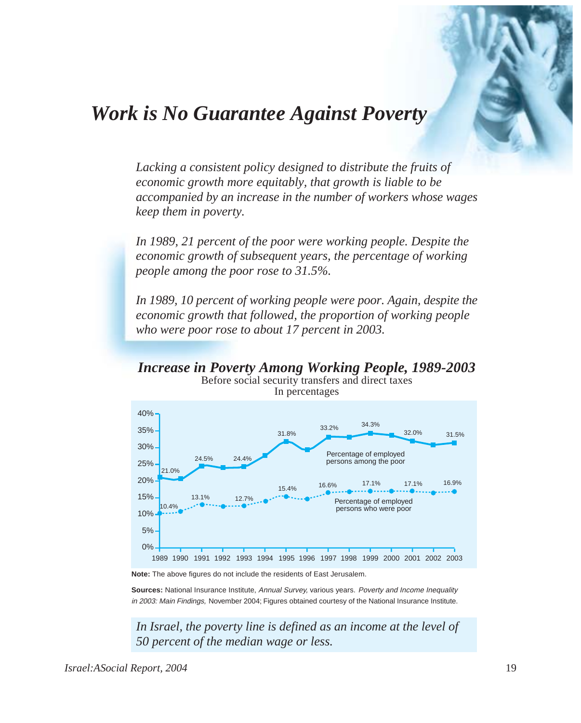## *Work is No Guarantee Against Poverty*

*Lacking a consistent policy designed to distribute the fruits of economic growth more equitably, that growth is liable to be accompanied by an increase in the number of workers whose wages keep them in poverty.*

*In 1989, 21 percent of the poor were working people. Despite the economic growth of subsequent years, the percentage of working people among the poor rose to 31.5%.*

*In 1989, 10 percent of working people were poor. Again, despite the economic growth that followed, the proportion of working people who were poor rose to about 17 percent in 2003.*

*Increase in Poverty Among Working People, 1989-2003* Before social security transfers and direct taxes



In percentages

**Note:** The above figures do not include the residents of East Jerusalem.

Sources: National Insurance Institute, Annual Survey, various years. Poverty and Income Inequality in 2003: Main Findings, November 2004; Figures obtained courtesy of the National Insurance Institute.

*In Israel, the poverty line is defined as an income at the level of 50 percent of the median wage or less.*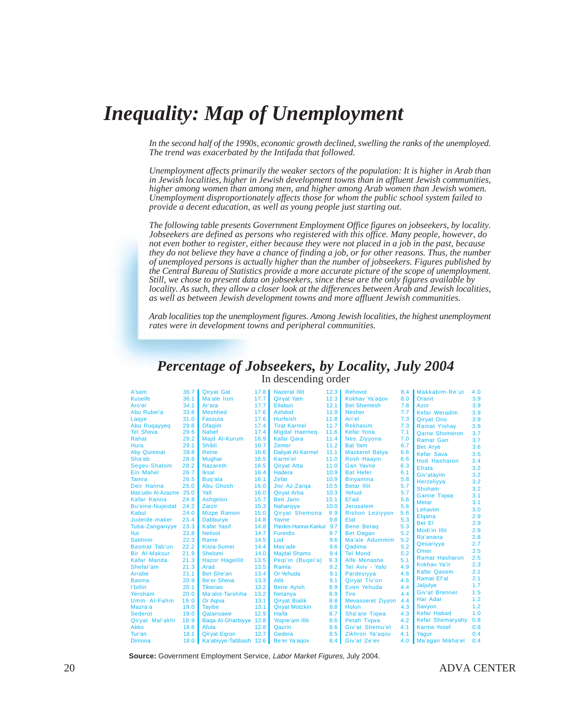## *Inequality: Map of Unemployment*

*In the second half of the 1990s, economic growth declined, swelling the ranks of the unemployed. The trend was exacerbated by the Intifada that followed.*

*Unemployment affects primarily the weaker sectors of the population: It is higher in Arab than in Jewish localities, higher in Jewish development towns than in affluent Jewish communities, higher among women than among men, and higher among Arab women than Jewish women. Unemployment disproportionately affects those for whom the public school system failed to provide a decent education, as well as young people just starting out.*

*The following table presents Government Employment Office figures on jobseekers, by locality. Jobseekers are defined as persons who registered with this office. Many people, however, do not even bother to register, either because they were not placed in a job in the past, because they do not believe they have a chance of finding a job, or for other reasons. Thus, the number of unemployed persons is actually higher than the number of jobseekers. Figures published by the Central Bureau of Statistics provide a more accurate picture of the scope of unemployment. Still, we chose to present data on jobseekers, since these are the only figures available by locality. As such, they allow a closer look at the differences between Arab and Jewish localities, as well as between Jewish development towns and more affluent Jewish communities.*

*Arab localities top the unemployment figures. Among Jewish localities, the highest unemployment rates were in development towns and peripheral communities.*

#### *Percentage of Jobseekers, by Locality, July 2004* In descending order

| A'sam                   | 36.7 | <b>Qiryat Gat</b>      | 17.8 | <b>Nazerat Illit</b>     | 12.3 | Rehovot                  | 8.4 | Makkabim-Re'ut          | 4.0 |
|-------------------------|------|------------------------|------|--------------------------|------|--------------------------|-----|-------------------------|-----|
| <b>Kuseife</b>          | 36.1 | Ma'ale Iron            | 17.7 | <b>Qiryat Yam</b>        | 12.3 | Kokhav Ya'agov           | 8.0 | Oranit                  | 3.9 |
| Aro'er                  | 34.1 | Ar'ara                 | 17.7 | Eilabun                  | 12.1 | <b>Bet Shemesh</b>       | 7.8 | Azor                    | 3.9 |
| Abu Rubei'a             | 33.6 | <b>Meshhed</b>         | 17.6 | Ashdod                   | 11.9 | <b>Nesher</b>            | 7.7 | <b>Kefar Weradim</b>    | 3.9 |
| Laqye                   | 31.0 | <b>Fassuta</b>         | 17.6 | <b>Hurfeish</b>          | 11.8 | Ari'el                   | 7.3 | Qiryat Ono              | 3.9 |
| Abu Ruqayyeq            | 29.8 | Ofagim                 | 17.4 | <b>Tirat Karmel</b>      | 11.7 | <b>Rekhasim</b>          | 7.3 | <b>Ramat Yishay</b>     | 3.9 |
| <b>Tel Sheva</b>        | 29.6 | <b>Nahef</b>           | 17.4 | <b>Migdal Haemeg</b>     | 11.6 | <b>Kefar Yona</b>        | 7.1 | <b>Qarne Shomeron</b>   | 3.7 |
| Rahat                   | 29.2 | Majd Al-Kurum          | 16.9 | <b>Kafar Qara</b>        | 11.4 | Nes Ziyyona              | 7.0 | <b>Ramat Gan</b>        | 3.7 |
| Hura                    | 29.1 | <b>Shibli</b>          | 16.7 | Zemer                    | 11.2 | <b>Bat Yam</b>           | 6.7 | <b>Bet Arye</b>         | 3.6 |
| <b>Aby Qureinat</b>     | 28.8 | <b>Reine</b>           | 16.6 | <b>Daliyat Al-Karmel</b> | 11.1 | <b>Mazkeret Batya</b>    | 6.6 | <b>Kefar Sava</b>       | 3.5 |
| Sha'ab                  | 28.6 | <b>Mughar</b>          | 16.5 | Karmi'el                 | 11.0 | <b>Rosh Haayin</b>       | 6.6 | <b>Hod Hasharon</b>     | 3.4 |
| Segev-Shalom            | 28.2 | Nazareth               | 16.5 | <b>Qiryat Atta</b>       | 11.0 | <b>Gan Yavne</b>         | 6.3 | <b>Efrata</b>           | 3.2 |
| <b>Ein Mahel</b>        | 26.7 | <b>Iksal</b>           | 16.4 | Hadera                   | 10.9 | <b>Bat Hefer</b>         | 6.1 | Giv'atayim              | 3.2 |
| <b>Tamra</b>            | 26.5 | Bug'ata                | 16.1 | Zefat                    | 10.9 | <b>Binyamina</b>         | 5.8 | Herzeliyya              | 3.2 |
| Deir Hanna              | 25.0 | Abu Ghosh              | 16.0 | Jisr Az-Zarga            | 10.5 | <b>Betar Illit</b>       | 5.7 | Shoham                  | 3.2 |
| Mas'udin Al-Azazme 25.0 |      | Yafi                   | 16.0 | <b>Qirvat Arba</b>       | 10.3 | Yehud                    | 5.7 | <b>Ganne Tigwa</b>      | 3.1 |
| Kafar Kanna             | 24.8 | Ashqelon               | 15.7 | <b>Beit Jann</b>         | 10.1 | El'ad                    | 5.6 | <b>Metar</b>            | 3.1 |
| <b>Bu'eine-Nujeidat</b> | 24.2 | <b>Zarzir</b>          | 15.3 | Nahariyya                | 10.0 | <b>Jerusalem</b>         | 5.6 | Lehavim                 | 3.0 |
| Kabul                   | 24.0 | <b>Mizpe Ramon</b>     | 15.0 | <b>Qiryat Shemona</b>    | 9.9  | <b>Rishon Leziyyon</b>   | 5.6 |                         |     |
| Judeide-maker           | 23.4 | <b>Dabburye</b>        | 14.8 | Yavne                    | 9.8  | Elat                     | 5.3 | Elgana                  | 2.9 |
| <b>Tuba-Zangariyye</b>  | 23.3 | <b>Kafar Yasif</b>     | 14.8 | Pardes Hanna-Karkur 9.7  |      | <b>Bene Berag</b>        | 5.3 | <b>Bet El</b>           | 2.9 |
| Ilut                    | 22.8 | <b>Netivot</b>         | 14.7 | <b>Fureidis</b>          | 9.7  | <b>Bet Dagan</b>         | 5.2 | Modi'in Illit           | 2.9 |
| <b>Sakhnin</b>          | 22.3 | Rame                   | 14.5 | Lod                      | 9.6  | Ma'ale Adummim           | 5.2 | Ra'anana                | 2.8 |
| <b>Basmat Tab'un</b>    | 22.2 | Kisra-Sumei            | 14.4 | Mas'ade                  | 9.6  | Qadima                   | 5.2 | Qesariyya               | 2.7 |
| <b>Bir Al-Maksur</b>    | 21.9 | <b>Shelomi</b>         | 14.0 | <b>Majdal Shams</b>      | 9.4  | <b>Tel Mond</b>          | 5.2 | Omer                    | 2.5 |
| Kafar Manda             | 21.3 | <b>Hazor Hagelilit</b> | 13.5 | Pegi'in (Bugei'a)        | 9.3  | Alfe Menashe             | 5.1 | <b>Ramat Hasharon</b>   | 2.5 |
| Shefar'am               | 21.3 | Arad                   | 13.5 | Ramla                    | 9.2  | Tel Aviv - Yafo          | 4.9 | Kokhav Ya'ir            | 2.3 |
| Arrabe                  | 21.1 | Bet She'an             | 13.4 | Or Yehuda                | 9.1  | Pardesiyya               | 4.6 | <b>Kafar Qasem</b>      | 2.1 |
| <b>Basma</b>            | 20.9 | <b>Be'er Sheva</b>     | 13.3 | <b>Atlit</b>             | 9.1  | Qiryat Tiv'on            | 4.6 | <b>Ramat Ef'al</b>      | 2.1 |
| l'billin                | 20.1 | <b>Tiberias</b>        | 13.2 | <b>Bene Ayish</b>        | 8.9  | Even Yehuda              | 4.4 | Jaljulye                | 1.7 |
| Yeroham                 | 20.0 | Ma'alot-Tarshiha       | 13.2 | <b>Netanya</b>           | 8.9  | <b>Tire</b>              | 4.4 | Giv'at Brenner          | 1.5 |
| Umm Al-Fahm             | 19.0 | Or Agiva               | 13.1 | <b>Qiryat Bialik</b>     | 8.8  | <b>Mevasseret Ziyyon</b> | 4.4 | Har Adar                | 1.2 |
| Mazra'a                 | 19.0 | <b>Tavibe</b>          | 13.1 | <b>Qiryat Motzkin</b>    | 8.8  | <b>Holon</b>             | 4.3 | Savyon                  | 1.2 |
| <b>Sederot</b>          | 19.0 | Qalansawe              | 12.9 | Haifa                    | 8.7  | Sha'are Tiqwa            | 4.3 | <b>Kefar Habad</b>      | 1.0 |
| Qiryat Mal'akhi         | 18.9 | Baga Al-Gharbiyye 12.8 |      | Yogne'am Illit           | 8.6  | Petah Tiqwa              | 4.2 | <b>Kefar Shemaryahy</b> | 0.8 |
| <b>Akko</b>             | 18.6 | Afula                  | 12.8 | Qazrin                   | 8.6  | Giv'at Shemu'el          | 4.1 | <b>Karme Yosef</b>      | 0.8 |
| Tur'an                  | 18.1 | <b>Qiryat Egron</b>    | 12.7 | Gedera                   | 8.5  | Zikhron Ya'agov          | 4.1 | Yagur                   | 0.4 |
| <b>Dimona</b>           | 18.0 | Ka'abiyye-Tabbash 12.6 |      | Be'er Ya'agov            | 8.4  | Giv'at Ze'ev             | 4.0 | Ma'agan Mikha'el        | 0.4 |

**Source:** Government Employment Service, Labor Market Figures, July 2004.

20 ADVA CENTER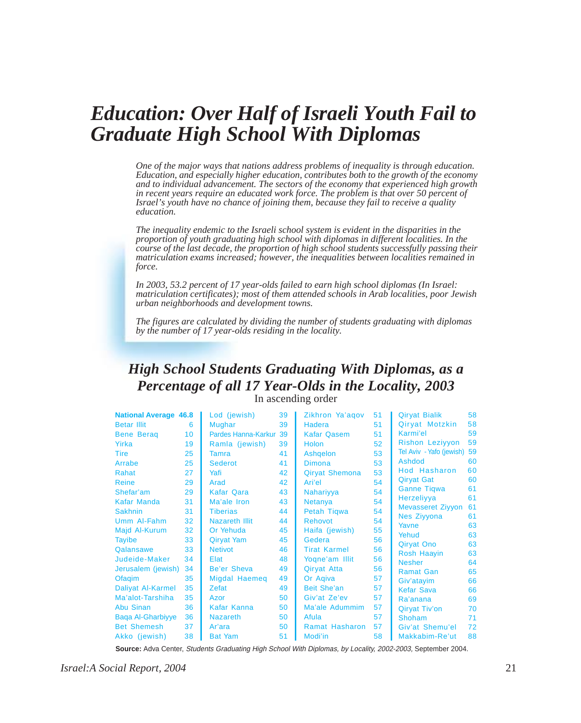## *Education: Over Half of Israeli Youth Fail to Graduate High School With Diplomas*

*One of the major ways that nations address problems of inequality is through education. Education, and especially higher education, contributes both to the growth of the economy and to individual advancement. The sectors of the economy that experienced high growth in recent years require an educated work force. The problem is that over 50 percent of Israel's youth have no chance of joining them, because they fail to receive a quality education.*

*The inequality endemic to the Israeli school system is evident in the disparities in the proportion of youth graduating high school with diplomas in different localities. In the course of the last decade, the proportion of high school students successfully passing their matriculation exams increased; however, the inequalities between localities remained in force.*

*In 2003, 53.2 percent of 17 year-olds failed to earn high school diplomas (In Israel: matriculation certificates); most of them attended schools in Arab localities, poor Jewish urban neighborhoods and development towns.*

*The figures are calculated by dividing the number of students graduating with diplomas by the number of 17 year-olds residing in the locality.*

#### *High School Students Graduating With Diplomas, as a Percentage of all 17 Year-Olds in the Locality, 2003* In ascending order

| <b>National Average 46.8</b> |    | Lod (jewish)           | 39 | Zikhron Ya'aqov       | 51 | <b>Qiryat Bialik</b>          | 58       |
|------------------------------|----|------------------------|----|-----------------------|----|-------------------------------|----------|
| <b>Betar Illit</b>           | 6  | Mughar                 | 39 | Hadera                | 51 | Qiryat Motzkin                | 58       |
| <b>Bene Berag</b>            | 10 | Pardes Hanna-Karkur 39 |    | <b>Kafar Qasem</b>    | 51 | Karmi'el                      | 59       |
| Yirka                        | 19 | Ramla (jewish)         | 39 | <b>Holon</b>          | 52 | <b>Rishon Leziyyon</b>        | 59       |
| Tire                         | 25 | <b>Tamra</b>           | 41 | Ashqelon              | 53 | Tel Aviv - Yafo (jewish) 59   |          |
| Arrabe                       | 25 | <b>Sederot</b>         | 41 | <b>Dimona</b>         | 53 | Ashdod                        | 60       |
| Rahat                        | 27 | Yafi                   | 42 | <b>Qiryat Shemona</b> | 53 | Hod Hasharon                  | 60       |
| <b>Reine</b>                 | 29 | Arad                   | 42 | Ari'el                | 54 | <b>Qiryat Gat</b>             | 60       |
| Shefar'am                    | 29 | Kafar Qara             | 43 | <b>Nahariyya</b>      | 54 | <b>Ganne Tigwa</b>            | 61       |
| Kafar Manda                  | 31 | Ma'ale Iron            | 43 | <b>Netanya</b>        | 54 | Herzeliyya                    | 61       |
| <b>Sakhnin</b>               | 31 | <b>Tiberias</b>        | 44 | Petah Tigwa           | 54 | <b>Mevasseret Ziyyon</b>      | 61       |
| Umm Al-Fahm                  | 32 | <b>Nazareth Illit</b>  | 44 | <b>Rehovot</b>        | 54 | Nes Ziyyona                   | 61       |
| Majd Al-Kurum                | 32 | Or Yehuda              | 45 | Haifa (jewish)        | 55 | Yavne                         | 63       |
| <b>Tayibe</b>                | 33 | <b>Qirvat Yam</b>      | 45 | Gedera                | 56 | Yehud                         | 63       |
| Qalansawe                    | 33 | <b>Netivot</b>         | 46 | <b>Tirat Karmel</b>   | 56 | <b>Qiryat Ono</b>             | 63       |
| Judeide-Maker                | 34 | Elat                   | 48 | Yogne'am Illit        | 56 | Rosh Haayin                   | 63       |
| Jerusalem (jewish)           | 34 | Be'er Sheva            | 49 | <b>Qiryat Atta</b>    | 56 | <b>Nesher</b>                 | 64<br>65 |
| Ofaqim                       | 35 | Migdal Haemeq          | 49 | Or Agiva              | 57 | <b>Ramat Gan</b>              | 66       |
| Daliyat Al-Karmel            | 35 | Zefat                  | 49 | Beit She'an           | 57 | Giv'atayim                    | 66       |
| Ma'alot-Tarshiha             | 35 | Azor                   | 50 | Giv'at Ze'ev          | 57 | <b>Kefar Sava</b><br>Ra'anana | 69       |
| Abu Sinan                    | 36 | Kafar Kanna            | 50 | Ma'ale Adummim        | 57 | Qiryat Tiv'on                 | 70       |
| <b>Baga Al-Gharbiyye</b>     | 36 | <b>Nazareth</b>        | 50 | Afula                 | 57 | <b>Shoham</b>                 | 71       |
| <b>Bet Shemesh</b>           | 37 | Ar'ara                 | 50 | <b>Ramat Hasharon</b> | 57 | Giv'at Shemu'el               | 72       |
| Akko (jewish)                | 38 | <b>Bat Yam</b>         | 51 | Modi'in               | 58 | Makkabim-Re'ut                | 88       |
|                              |    |                        |    |                       |    |                               |          |

**Source:** Adva Center, Students Graduating High School With Diplomas, by Locality, 2002-2003, September 2004.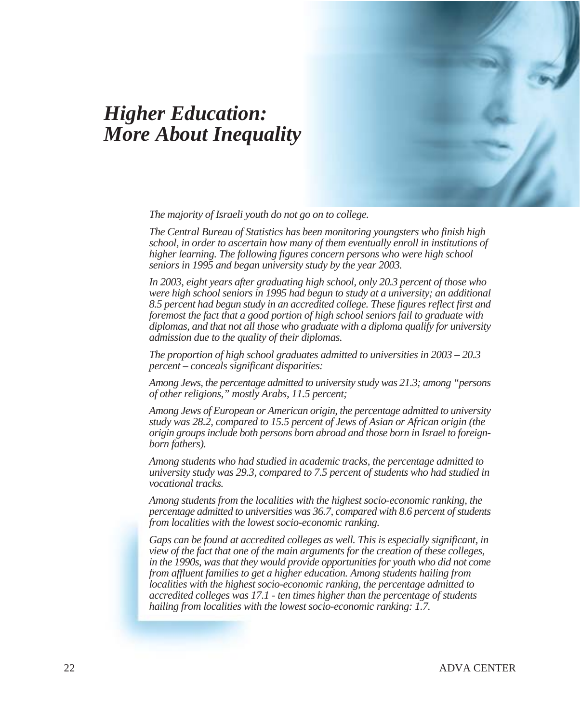## *Higher Education: More About Inequality*

*The majority of Israeli youth do not go on to college.*

*The Central Bureau of Statistics has been monitoring youngsters who finish high school, in order to ascertain how many of them eventually enroll in institutions of higher learning. The following figures concern persons who were high school seniors in 1995 and began university study by the year 2003.*

*In 2003, eight years after graduating high school, only 20.3 percent of those who were high school seniors in 1995 had begun to study at a university; an additional 8.5 percent had begun study in an accredited college. These figures reflect first and foremost the fact that a good portion of high school seniors fail to graduate with diplomas, and that not all those who graduate with a diploma qualify for university admission due to the quality of their diplomas.*

*The proportion of high school graduates admitted to universities in 2003 – 20.3 percent – conceals significant disparities:*

*Among Jews, the percentage admitted to university study was 21.3; among "persons of other religions," mostly Arabs, 11.5 percent;*

*Among Jews of European or American origin, the percentage admitted to university study was 28.2, compared to 15.5 percent of Jews of Asian or African origin (the origin groups include both persons born abroad and those born in Israel to foreignborn fathers).*

*Among students who had studied in academic tracks, the percentage admitted to university study was 29.3, compared to 7.5 percent of students who had studied in vocational tracks.*

*Among students from the localities with the highest socio-economic ranking, the percentage admitted to universities was 36.7, compared with 8.6 percent of students from localities with the lowest socio-economic ranking.*

*Gaps can be found at accredited colleges as well. This is especially significant, in view of the fact that one of the main arguments for the creation of these colleges, in the 1990s, was that they would provide opportunities for youth who did not come from affluent families to get a higher education. Among students hailing from localities with the highest socio-economic ranking, the percentage admitted to accredited colleges was 17.1 - ten times higher than the percentage of students hailing from localities with the lowest socio-economic ranking: 1.7.*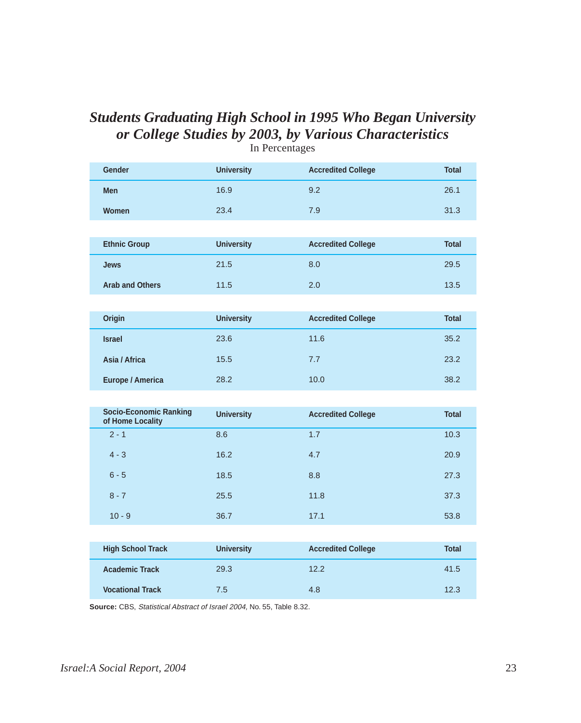### *Students Graduating High School in 1995 Who Began University or College Studies by 2003, by Various Characteristics* In Percentages

| <b>Gender</b>                                     | <b>University</b> | <b>Accredited College</b> | <b>Total</b> |
|---------------------------------------------------|-------------------|---------------------------|--------------|
| <b>Men</b>                                        | 16.9              | 9.2                       | 26.1         |
| Women                                             | 23.4              | 7.9                       | 31.3         |
|                                                   |                   |                           |              |
| <b>Ethnic Group</b>                               | <b>University</b> | <b>Accredited College</b> | <b>Total</b> |
| <b>Jews</b>                                       | 21.5              | 8.0                       | 29.5         |
| <b>Arab and Others</b>                            | 11.5              | 2.0                       | 13.5         |
|                                                   |                   |                           |              |
| <b>Origin</b>                                     | <b>University</b> | <b>Accredited College</b> | <b>Total</b> |
| <b>Israel</b>                                     | 23.6              | 11.6                      | 35.2         |
| Asia / Africa                                     | 15.5              | 7.7                       | 23.2         |
| <b>Europe / America</b>                           | 28.2              | 10.0                      | 38.2         |
|                                                   |                   |                           |              |
| <b>Socio-Economic Ranking</b><br>of Home Locality | <b>University</b> | <b>Accredited College</b> | <b>Total</b> |
| $2 - 1$                                           | 8.6               | 1.7                       | 10.3         |
| $4 - 3$                                           | 16.2              | 4.7                       | 20.9         |
| $6 - 5$                                           | 18.5              | 8.8                       | 27.3         |
| $8 - 7$                                           | 25.5              | 11.8                      | 37.3         |
| $10 - 9$                                          | 36.7              | 17.1                      | 53.8         |
|                                                   |                   |                           |              |
| <b>High School Track</b>                          | <b>University</b> | <b>Accredited College</b> | <b>Total</b> |
| <b>Academic Track</b>                             | 29.3              | 12.2                      | 41.5         |
| <b>Vocational Track</b>                           | 7.5               | 4.8                       | 12.3         |

**Source:** CBS, Statistical Abstract of Israel 2004, No. 55, Table 8.32.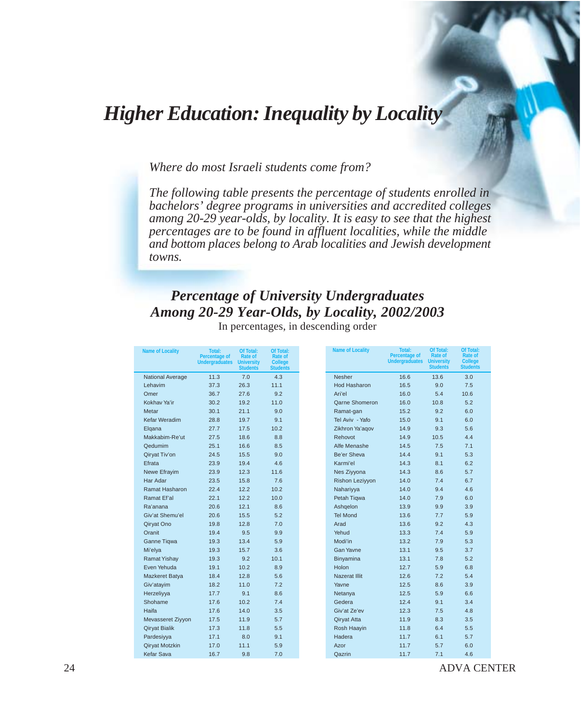## *Higher Education: Inequality by Locality*

*Where do most Israeli students come from?*

*The following table presents the percentage of students enrolled in bachelors' degree programs in universities and accredited colleges among 20-29 year-olds, by locality. It is easy to see that the highest percentages are to be found in affluent localities, while the middle and bottom places belong to Arab localities and Jewish development towns.*

### *Percentage of University Undergraduates Among 20-29 Year-Olds, by Locality, 2002/2003*

| <b>Percentage of</b><br>Rate of<br>Rate of<br><b>Undergraduates</b><br><b>University</b><br><b>College</b><br><b>Students</b><br><b>Students</b><br>11.3<br>7.0<br>4.3<br><b>National Average</b><br>37.3<br>26.3<br>11.1<br>Lehavim<br>9.2<br>36.7<br>27.6<br>Omer<br>Kokhav Ya'ir<br>19.2<br>11.0<br>30.2<br>30.1<br>21.1<br>9.0<br>Metar<br>Kefar Weradim<br>28.8<br>19.7<br>9.1<br>27.7<br>17.5<br>10.2<br>Elgana<br>8.8<br>Makkabim-Re'ut<br>27.5<br>18.6<br>Qedumim<br>25.1<br>16.6<br>8.5<br>Qiryat Tiv'on<br>24.5<br>15.5<br>9.0<br>4.6<br>23.9<br>19.4<br>Efrata<br>23.9<br>12.3<br>Newe Efrayim<br>11.6<br>Har Adar<br>23.5<br>15.8<br>7.6<br>Ramat Hasharon<br>22.4<br>12.2<br>10.2<br>Ramat Ef'al<br>22.1<br>12.2<br>10.0<br>20.6<br>12.1<br>8.6<br>Ra'anana<br>5.2<br>Giv'at Shemu'el<br>20.6<br>15.5<br>12.8<br>Qiryat Ono<br>19.8<br>7.0<br>19.4<br>9.5<br>Oranit<br>9.9<br>19.3<br>13.4<br>5.9<br>Ganne Tiqwa<br>3.6<br>Mi'elya<br>19.3<br>15.7<br>19.3<br>9.2<br>10.1<br><b>Ramat Yishay</b><br>Even Yehuda<br>19.1<br>10.2<br>8.9<br>5.6<br>18.4<br>12.8<br>Mazkeret Batya<br>18.2<br>11.0<br>7.2<br>Giv'atayim<br>17.7<br>9.1<br>8.6<br>Herzeliyya<br>Shohame<br>10.2<br>17.6<br>7.4<br>17.6<br>14.0<br>Haifa<br>3.5<br>17.5<br>11.9<br>5.7<br>Mevasseret Ziyyon<br>11.8<br>5.5<br>17.3<br><b>Qiryat Bialik</b><br>8.0<br>9.1<br>Pardesiyya<br>17.1<br><b>Qiryat Motzkin</b><br>11.1<br>5.9<br>17.0<br>Kefar Sava<br>9.8<br>7.0<br>16.7 |                        | <b>Percentage of</b>  | <b>Name of Locality</b><br>Total:<br>Of Total:<br>Rate of |
|------------------------------------------------------------------------------------------------------------------------------------------------------------------------------------------------------------------------------------------------------------------------------------------------------------------------------------------------------------------------------------------------------------------------------------------------------------------------------------------------------------------------------------------------------------------------------------------------------------------------------------------------------------------------------------------------------------------------------------------------------------------------------------------------------------------------------------------------------------------------------------------------------------------------------------------------------------------------------------------------------------------------------------------------------------------------------------------------------------------------------------------------------------------------------------------------------------------------------------------------------------------------------------------------------------------------------------------------------------------------------------------------------------------------------------------------------------|------------------------|-----------------------|-----------------------------------------------------------|
|                                                                                                                                                                                                                                                                                                                                                                                                                                                                                                                                                                                                                                                                                                                                                                                                                                                                                                                                                                                                                                                                                                                                                                                                                                                                                                                                                                                                                                                            |                        | <b>Undergraduates</b> | <b>University</b>                                         |
|                                                                                                                                                                                                                                                                                                                                                                                                                                                                                                                                                                                                                                                                                                                                                                                                                                                                                                                                                                                                                                                                                                                                                                                                                                                                                                                                                                                                                                                            |                        |                       | <b>Students</b>                                           |
|                                                                                                                                                                                                                                                                                                                                                                                                                                                                                                                                                                                                                                                                                                                                                                                                                                                                                                                                                                                                                                                                                                                                                                                                                                                                                                                                                                                                                                                            | <b>Nesher</b>          | 16.6                  | 13.6                                                      |
|                                                                                                                                                                                                                                                                                                                                                                                                                                                                                                                                                                                                                                                                                                                                                                                                                                                                                                                                                                                                                                                                                                                                                                                                                                                                                                                                                                                                                                                            | <b>Hod Hasharon</b>    | 16.5                  | 9.0                                                       |
|                                                                                                                                                                                                                                                                                                                                                                                                                                                                                                                                                                                                                                                                                                                                                                                                                                                                                                                                                                                                                                                                                                                                                                                                                                                                                                                                                                                                                                                            | Ari'el                 | 16.0                  | 5.4                                                       |
|                                                                                                                                                                                                                                                                                                                                                                                                                                                                                                                                                                                                                                                                                                                                                                                                                                                                                                                                                                                                                                                                                                                                                                                                                                                                                                                                                                                                                                                            | Qarne Shomeron         | 16.0                  | 10.8                                                      |
|                                                                                                                                                                                                                                                                                                                                                                                                                                                                                                                                                                                                                                                                                                                                                                                                                                                                                                                                                                                                                                                                                                                                                                                                                                                                                                                                                                                                                                                            | Ramat-gan              | 15.2                  | 9.2                                                       |
|                                                                                                                                                                                                                                                                                                                                                                                                                                                                                                                                                                                                                                                                                                                                                                                                                                                                                                                                                                                                                                                                                                                                                                                                                                                                                                                                                                                                                                                            | Tel Aviv - Yafo        | 15.0                  | 9.1                                                       |
|                                                                                                                                                                                                                                                                                                                                                                                                                                                                                                                                                                                                                                                                                                                                                                                                                                                                                                                                                                                                                                                                                                                                                                                                                                                                                                                                                                                                                                                            | Zikhron Ya'aqov        | 14.9                  | 9.3                                                       |
|                                                                                                                                                                                                                                                                                                                                                                                                                                                                                                                                                                                                                                                                                                                                                                                                                                                                                                                                                                                                                                                                                                                                                                                                                                                                                                                                                                                                                                                            | Rehovot                | 14.9                  | 10.5                                                      |
|                                                                                                                                                                                                                                                                                                                                                                                                                                                                                                                                                                                                                                                                                                                                                                                                                                                                                                                                                                                                                                                                                                                                                                                                                                                                                                                                                                                                                                                            | Alfe Menashe           | 14.5                  | 7.5                                                       |
|                                                                                                                                                                                                                                                                                                                                                                                                                                                                                                                                                                                                                                                                                                                                                                                                                                                                                                                                                                                                                                                                                                                                                                                                                                                                                                                                                                                                                                                            | Be'er Sheva            | 14.4                  | 9.1                                                       |
|                                                                                                                                                                                                                                                                                                                                                                                                                                                                                                                                                                                                                                                                                                                                                                                                                                                                                                                                                                                                                                                                                                                                                                                                                                                                                                                                                                                                                                                            | Karmi'el               | 14.3                  | 8.1                                                       |
|                                                                                                                                                                                                                                                                                                                                                                                                                                                                                                                                                                                                                                                                                                                                                                                                                                                                                                                                                                                                                                                                                                                                                                                                                                                                                                                                                                                                                                                            | Nes Ziyyona            | 14.3                  | 8.6                                                       |
|                                                                                                                                                                                                                                                                                                                                                                                                                                                                                                                                                                                                                                                                                                                                                                                                                                                                                                                                                                                                                                                                                                                                                                                                                                                                                                                                                                                                                                                            | <b>Rishon Leziyyon</b> | 14.0                  | 7.4                                                       |
|                                                                                                                                                                                                                                                                                                                                                                                                                                                                                                                                                                                                                                                                                                                                                                                                                                                                                                                                                                                                                                                                                                                                                                                                                                                                                                                                                                                                                                                            | Nahariyya              | 14.0                  | 9.4                                                       |
|                                                                                                                                                                                                                                                                                                                                                                                                                                                                                                                                                                                                                                                                                                                                                                                                                                                                                                                                                                                                                                                                                                                                                                                                                                                                                                                                                                                                                                                            | Petah Tigwa            | 14.0                  | 7.9                                                       |
|                                                                                                                                                                                                                                                                                                                                                                                                                                                                                                                                                                                                                                                                                                                                                                                                                                                                                                                                                                                                                                                                                                                                                                                                                                                                                                                                                                                                                                                            | Ashqelon               | 13.9                  | 9.9                                                       |
|                                                                                                                                                                                                                                                                                                                                                                                                                                                                                                                                                                                                                                                                                                                                                                                                                                                                                                                                                                                                                                                                                                                                                                                                                                                                                                                                                                                                                                                            | <b>Tel Mond</b>        | 13.6                  | 7.7                                                       |
|                                                                                                                                                                                                                                                                                                                                                                                                                                                                                                                                                                                                                                                                                                                                                                                                                                                                                                                                                                                                                                                                                                                                                                                                                                                                                                                                                                                                                                                            | Arad                   | 13.6                  | 9.2                                                       |
|                                                                                                                                                                                                                                                                                                                                                                                                                                                                                                                                                                                                                                                                                                                                                                                                                                                                                                                                                                                                                                                                                                                                                                                                                                                                                                                                                                                                                                                            | Yehud                  | 13.3                  | 7.4                                                       |
|                                                                                                                                                                                                                                                                                                                                                                                                                                                                                                                                                                                                                                                                                                                                                                                                                                                                                                                                                                                                                                                                                                                                                                                                                                                                                                                                                                                                                                                            | Modi'in                | 13.2                  | 7.9                                                       |
|                                                                                                                                                                                                                                                                                                                                                                                                                                                                                                                                                                                                                                                                                                                                                                                                                                                                                                                                                                                                                                                                                                                                                                                                                                                                                                                                                                                                                                                            | <b>Gan Yavne</b>       | 13.1                  | 9.5                                                       |
|                                                                                                                                                                                                                                                                                                                                                                                                                                                                                                                                                                                                                                                                                                                                                                                                                                                                                                                                                                                                                                                                                                                                                                                                                                                                                                                                                                                                                                                            | Binyamina              | 13.1                  | 7.8                                                       |
|                                                                                                                                                                                                                                                                                                                                                                                                                                                                                                                                                                                                                                                                                                                                                                                                                                                                                                                                                                                                                                                                                                                                                                                                                                                                                                                                                                                                                                                            | <b>Holon</b>           | 12.7                  | 5.9                                                       |
|                                                                                                                                                                                                                                                                                                                                                                                                                                                                                                                                                                                                                                                                                                                                                                                                                                                                                                                                                                                                                                                                                                                                                                                                                                                                                                                                                                                                                                                            | Nazerat Illit          | 12.6                  | 7.2                                                       |
|                                                                                                                                                                                                                                                                                                                                                                                                                                                                                                                                                                                                                                                                                                                                                                                                                                                                                                                                                                                                                                                                                                                                                                                                                                                                                                                                                                                                                                                            |                        | 12.5                  | 8.6                                                       |
|                                                                                                                                                                                                                                                                                                                                                                                                                                                                                                                                                                                                                                                                                                                                                                                                                                                                                                                                                                                                                                                                                                                                                                                                                                                                                                                                                                                                                                                            | Yavne                  |                       |                                                           |
|                                                                                                                                                                                                                                                                                                                                                                                                                                                                                                                                                                                                                                                                                                                                                                                                                                                                                                                                                                                                                                                                                                                                                                                                                                                                                                                                                                                                                                                            | Netanya                | 12.5                  | 5.9                                                       |
|                                                                                                                                                                                                                                                                                                                                                                                                                                                                                                                                                                                                                                                                                                                                                                                                                                                                                                                                                                                                                                                                                                                                                                                                                                                                                                                                                                                                                                                            | Gedera                 | 12.4                  | 9.1                                                       |
|                                                                                                                                                                                                                                                                                                                                                                                                                                                                                                                                                                                                                                                                                                                                                                                                                                                                                                                                                                                                                                                                                                                                                                                                                                                                                                                                                                                                                                                            | Giv'at Ze'ev           | 12.3                  | 7.5                                                       |
|                                                                                                                                                                                                                                                                                                                                                                                                                                                                                                                                                                                                                                                                                                                                                                                                                                                                                                                                                                                                                                                                                                                                                                                                                                                                                                                                                                                                                                                            | Qiryat Atta            | 11.9                  | 8.3                                                       |
|                                                                                                                                                                                                                                                                                                                                                                                                                                                                                                                                                                                                                                                                                                                                                                                                                                                                                                                                                                                                                                                                                                                                                                                                                                                                                                                                                                                                                                                            | Rosh Haayin            | 11.8                  | 6.4                                                       |
|                                                                                                                                                                                                                                                                                                                                                                                                                                                                                                                                                                                                                                                                                                                                                                                                                                                                                                                                                                                                                                                                                                                                                                                                                                                                                                                                                                                                                                                            | Hadera                 | 11.7                  | 6.1                                                       |
|                                                                                                                                                                                                                                                                                                                                                                                                                                                                                                                                                                                                                                                                                                                                                                                                                                                                                                                                                                                                                                                                                                                                                                                                                                                                                                                                                                                                                                                            | Azor                   | 11.7                  | 5.7                                                       |
|                                                                                                                                                                                                                                                                                                                                                                                                                                                                                                                                                                                                                                                                                                                                                                                                                                                                                                                                                                                                                                                                                                                                                                                                                                                                                                                                                                                                                                                            | Qazrin                 | 11.7                  | 7.1                                                       |

In percentages, in descending order

24 ADVA CENTER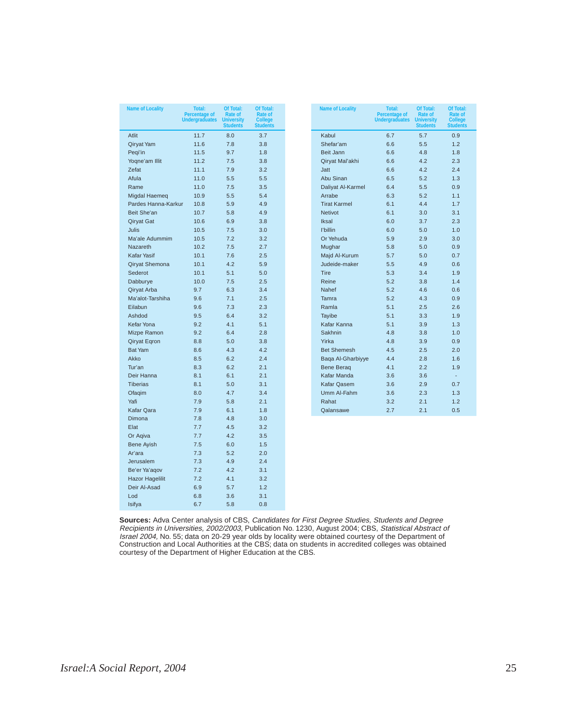| <b>Name of Locality</b> | Total:<br><b>Percentage of</b><br><b>Undergraduates</b> | Of Total:<br>Rate of<br><b>University</b><br><b>Students</b> | Of Total:<br>Rate of<br><b>College</b><br><b>Students</b> | <b>Name of Locality</b> | Total:<br><b>Percentage of</b><br><b>Undergraduates</b> | Of Total:<br>Rate of<br><b>University</b><br><b>Students</b> | Of To<br>Rate<br>Colle<br><b>Stude</b> |
|-------------------------|---------------------------------------------------------|--------------------------------------------------------------|-----------------------------------------------------------|-------------------------|---------------------------------------------------------|--------------------------------------------------------------|----------------------------------------|
| <b>Atlit</b>            | 11.7                                                    | 8.0                                                          | 3.7                                                       | Kabul                   | 6.7                                                     | 5.7                                                          | 0.9                                    |
| Qiryat Yam              | 11.6                                                    | 7.8                                                          | 3.8                                                       | Shefar'am               | 6.6                                                     | 5.5                                                          | 1.2                                    |
| Peqi'in                 | 11.5                                                    | 9.7                                                          | 1.8                                                       | Beit Jann               | 6.6                                                     | 4.8                                                          | 1.8                                    |
| Yoqne'am Illit          | 11.2                                                    | 7.5                                                          | 3.8                                                       | Qiryat Mal'akhi         | 6.6                                                     | 4.2                                                          | 2.3                                    |
| Zefat                   | 11.1                                                    | 7.9                                                          | 3.2                                                       | Jatt                    | 6.6                                                     | 4.2                                                          | 2.4                                    |
| Afula                   | 11.0                                                    | 5.5                                                          | 5.5                                                       | Abu Sinan               | 6.5                                                     | 5.2                                                          | 1.3                                    |
| Rame                    | 11.0                                                    | 7.5                                                          | 3.5                                                       | Daliyat Al-Karmel       | 6.4                                                     | 5.5                                                          | 0.9                                    |
| Migdal Haemeq           | 10.9                                                    | 5.5                                                          | 5.4                                                       | Arrabe                  | 6.3                                                     | 5.2                                                          | 1.1                                    |
| Pardes Hanna-Karkur     | 10.8                                                    | 5.9                                                          | 4.9                                                       | <b>Tirat Karmel</b>     | 6.1                                                     | 4.4                                                          | 1.7                                    |
| Beit She'an             | 10.7                                                    | 5.8                                                          | 4.9                                                       | Netivot                 | 6.1                                                     | 3.0                                                          | 3.1                                    |
| Qiryat Gat              | 10.6                                                    | 6.9                                                          | 3.8                                                       | Iksal                   | 6.0                                                     | 3.7                                                          | 2.3                                    |
| <b>Julis</b>            | 10.5                                                    | 7.5                                                          | 3.0                                                       | l'billin                | 6.0                                                     | 5.0                                                          | 1.0                                    |
| Ma'ale Adummim          | 10.5                                                    | 7.2                                                          | 3.2                                                       | Or Yehuda               | 5.9                                                     | 2.9                                                          | 3.0                                    |
| <b>Nazareth</b>         | 10.2                                                    | 7.5                                                          | 2.7                                                       | Mughar                  | 5.8                                                     | 5.0                                                          | 0.9                                    |
| <b>Kafar Yasif</b>      | 10.1                                                    | 7.6                                                          | 2.5                                                       | Majd Al-Kurum           | 5.7                                                     | 5.0                                                          | 0.7                                    |
| Qiryat Shemona          | 10.1                                                    | 4.2                                                          | 5.9                                                       | Judeide-maker           | 5.5                                                     | 4.9                                                          | 0.6                                    |
| Sederot                 | 10.1                                                    | 5.1                                                          | 5.0                                                       | <b>Tire</b>             | 5.3                                                     | 3.4                                                          | 1.9                                    |
| Dabburye                | 10.0                                                    | 7.5                                                          | 2.5                                                       | Reine                   | 5.2                                                     | 3.8                                                          | 1.4                                    |
| Qiryat Arba             | 9.7                                                     | 6.3                                                          | 3.4                                                       | Nahef                   | 5.2                                                     | 4.6                                                          | 0.6                                    |
| Ma'alot-Tarshiha        | 9.6                                                     | 7.1                                                          | 2.5                                                       | Tamra                   | 5.2                                                     | 4.3                                                          | 0.9                                    |
| Eilabun                 | 9.6                                                     | 7.3                                                          | 2.3                                                       | Ramla                   | 5.1                                                     | 2.5                                                          | 2.6                                    |
| Ashdod                  | 9.5                                                     | 6.4                                                          | 3.2                                                       | <b>Tayibe</b>           | 5.1                                                     | 3.3                                                          | 1.9                                    |
| Kefar Yona              | 9.2                                                     | 4.1                                                          | 5.1                                                       | Kafar Kanna             | 5.1                                                     | 3.9                                                          | 1.3                                    |
| Mizpe Ramon             | 9.2                                                     | 6.4                                                          | 2.8                                                       | Sakhnin                 | 4.8                                                     | 3.8                                                          | 1.0                                    |
| Qiryat Eqron            | 8.8                                                     | 5.0                                                          | 3.8                                                       | Yirka                   | 4.8                                                     | 3.9                                                          | 0.9                                    |
| <b>Bat Yam</b>          | 8.6                                                     | 4.3                                                          | 4.2                                                       | <b>Bet Shemesh</b>      | 4.5                                                     | 2.5                                                          | 2.0                                    |
| Akko                    | 8.5                                                     | 6.2                                                          | 2.4                                                       | Baga Al-Gharbiyye       | 4.4                                                     | 2.8                                                          | 1.6                                    |
| Tur'an                  | 8.3                                                     | 6.2                                                          | 2.1                                                       | <b>Bene Berag</b>       | 4.1                                                     | 2.2                                                          | 1.9                                    |
| Deir Hanna              | 8.1                                                     | 6.1                                                          | 2.1                                                       | Kafar Manda             | 3.6                                                     | 3.6                                                          | $\overline{\phantom{a}}$               |
| <b>Tiberias</b>         | 8.1                                                     | 5.0                                                          | 3.1                                                       | Kafar Qasem             | 3.6                                                     | 2.9                                                          | 0.7                                    |
| Ofaqim                  | 8.0                                                     | 4.7                                                          | 3.4                                                       | Umm Al-Fahm             | 3.6                                                     | 2.3                                                          | 1.3                                    |
| Yafi                    | 7.9                                                     | 5.8                                                          | 2.1                                                       | Rahat                   | 3.2                                                     | 2.1                                                          | 1.2                                    |
| Kafar Qara              | 7.9                                                     | 6.1                                                          | 1.8                                                       | Qalansawe               | 2.7                                                     | 2.1                                                          | 0.5                                    |
| Dimona                  | 7.8                                                     | 4.8                                                          | 3.0                                                       |                         |                                                         |                                                              |                                        |
| Elat                    | 7.7                                                     | 4.5                                                          | 3.2                                                       |                         |                                                         |                                                              |                                        |
| Or Agiva                | 7.7                                                     | 4.2                                                          | 3.5                                                       |                         |                                                         |                                                              |                                        |
| <b>Bene Ayish</b>       | 7.5                                                     | 6.0                                                          | 1.5                                                       |                         |                                                         |                                                              |                                        |
| Ar'ara                  | 7.3                                                     | 5.2                                                          | 2.0                                                       |                         |                                                         |                                                              |                                        |
| Jerusalem               | 7.3                                                     | 4.9                                                          | 2.4                                                       |                         |                                                         |                                                              |                                        |
| Be'er Ya'aqov           | 7.2                                                     | 4.2                                                          | 3.1                                                       |                         |                                                         |                                                              |                                        |
| <b>Hazor Hagelilit</b>  | 7.2                                                     | 4.1                                                          | 3.2                                                       |                         |                                                         |                                                              |                                        |
| Deir Al-Asad            | 6.9                                                     | 5.7                                                          | 1.2                                                       |                         |                                                         |                                                              |                                        |
| Lod                     | 6.8                                                     | 3.6                                                          | 3.1                                                       |                         |                                                         |                                                              |                                        |
| Isifya                  | 6.7                                                     | 5.8                                                          | 0.8                                                       |                         |                                                         |                                                              |                                        |
|                         |                                                         |                                                              |                                                           |                         |                                                         |                                                              |                                        |

**Sources:** Adva Center analysis of CBS, Candidates for First Degree Studies, Students and Degree Recipients in Universities, 2002/2003, Publication No. 1230, August 2004; CBS, Statistical Abstract of Israel 2004, No. 55; data on 20-29 year olds by locality were obtained courtesy of the Department of Construction and Local Authorities at the CBS; data on students in accredited colleges was obtained courtesy of the Department of Higher Education at the CBS.

**Of Total: Rate of College Students**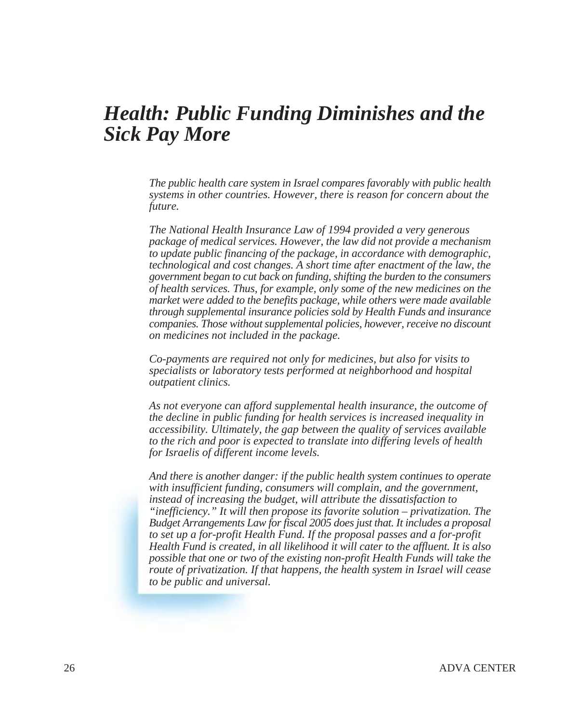## *Health: Public Funding Diminishes and the Sick Pay More*

*The public health care system in Israel compares favorably with public health systems in other countries. However, there is reason for concern about the future.*

*The National Health Insurance Law of 1994 provided a very generous package of medical services. However, the law did not provide a mechanism to update public financing of the package, in accordance with demographic, technological and cost changes. A short time after enactment of the law, the government began to cut back on funding, shifting the burden to the consumers of health services. Thus, for example, only some of the new medicines on the market were added to the benefits package, while others were made available through supplemental insurance policies sold by Health Funds and insurance companies. Those without supplemental policies, however, receive no discount on medicines not included in the package.*

*Co-payments are required not only for medicines, but also for visits to specialists or laboratory tests performed at neighborhood and hospital outpatient clinics.*

*As not everyone can afford supplemental health insurance, the outcome of the decline in public funding for health services is increased inequality in accessibility. Ultimately, the gap between the quality of services available to the rich and poor is expected to translate into differing levels of health for Israelis of different income levels.*

*And there is another danger: if the public health system continues to operate with insufficient funding, consumers will complain, and the government, instead of increasing the budget, will attribute the dissatisfaction to "inefficiency." It will then propose its favorite solution – privatization. The Budget Arrangements Law for fiscal 2005 does just that. It includes a proposal to set up a for-profit Health Fund. If the proposal passes and a for-profit Health Fund is created, in all likelihood it will cater to the affluent. It is also possible that one or two of the existing non-profit Health Funds will take the route of privatization. If that happens, the health system in Israel will cease to be public and universal.*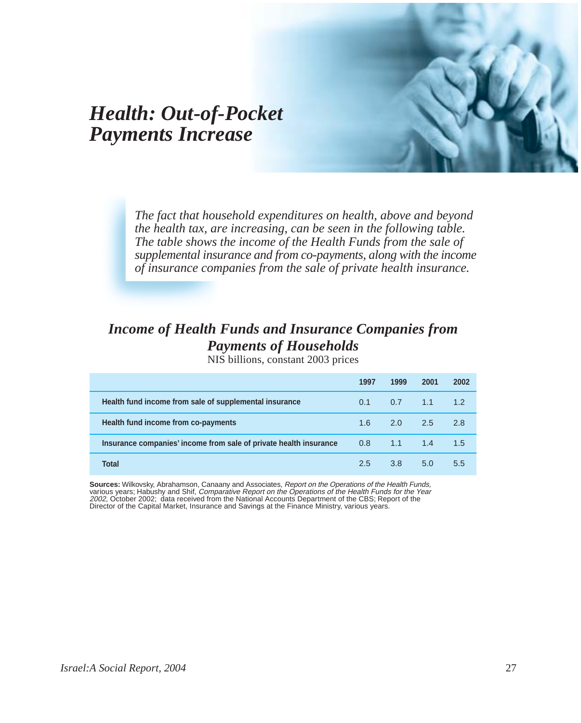## *Health: Out-of-Pocket Payments Increase*

*The fact that household expenditures on health, above and beyond the health tax, are increasing, can be seen in the following table. The table shows the income of the Health Funds from the sale of supplemental insurance and from co-payments, along with the income of insurance companies from the sale of private health insurance.*

### *Income of Health Funds and Insurance Companies from Payments of Households*

NIS billions, constant 2003 prices

|                                                                   | 1997             | 1999            | 2001   | 2002 |
|-------------------------------------------------------------------|------------------|-----------------|--------|------|
| Health fund income from sale of supplemental insurance            | 0.1              | 0.7             | $-1.1$ | 1.2  |
| Health fund income from co-payments                               | 1.6              | $2.0\qquad 2.5$ |        | 2.8  |
| Insurance companies' income from sale of private health insurance | 0.8 <sub>1</sub> | $-1.1$          | 1.4    | 1.5  |
| Total                                                             | 2.5              | 3.8             | 5.0    | 5.5  |

**Sources:** Wilkovsky, Abrahamson, Canaany and Associates, Report on the Operations of the Health Funds, various years; Habushy and Shif, Comparative Report on the Operations of the Health Funds for the Year 2002, October 2002; data received from the National Accounts Department of the CBS; Report of the Director of the Capital Market, Insurance and Savings at the Finance Ministry, various years.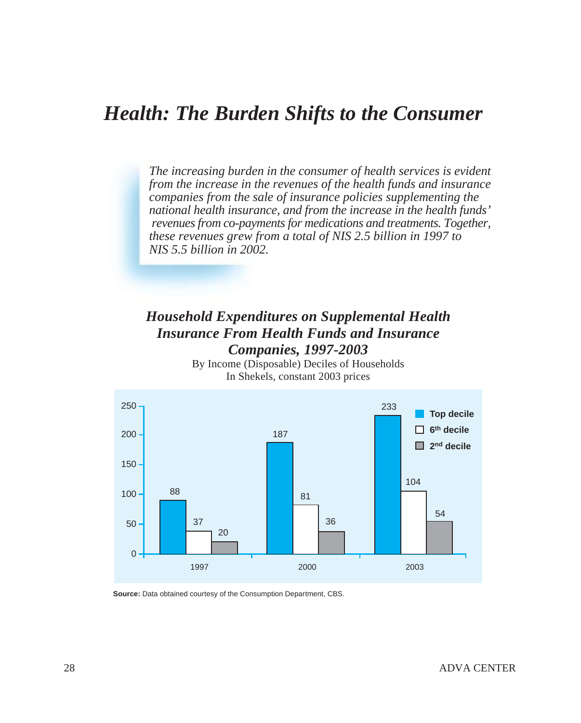## *Health: The Burden Shifts to the Consumer*

*The increasing burden in the consumer of health services is evident from the increase in the revenues of the health funds and insurance companies from the sale of insurance policies supplementing the national health insurance, and from the increase in the health funds' revenues from co-payments for medications and treatments. Together, these revenues grew from a total of NIS 2.5 billion in 1997 to NIS 5.5 billion in 2002.*

### *Household Expenditures on Supplemental Health Insurance From Health Funds and Insurance Companies, 1997-2003*

By Income (Disposable) Deciles of Households In Shekels, constant 2003 prices



**Source:** Data obtained courtesy of the Consumption Department, CBS.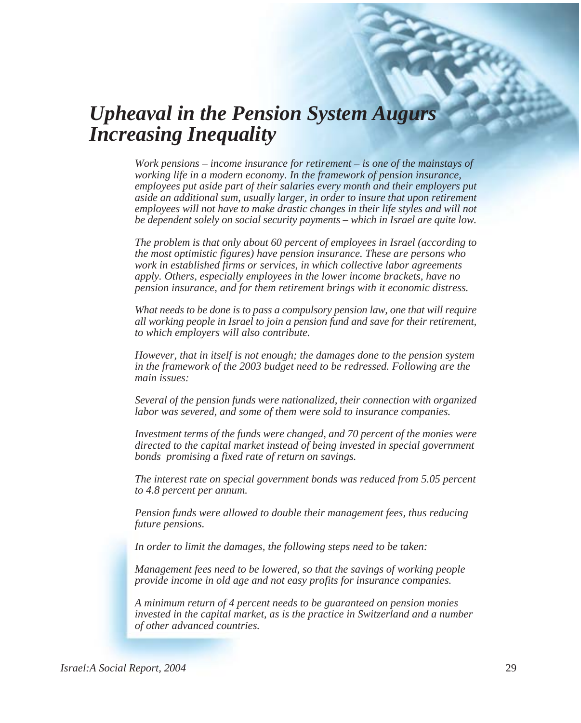## *Upheaval in the Pension System Augurs Increasing Inequality*

*Work pensions – income insurance for retirement – is one of the mainstays of working life in a modern economy. In the framework of pension insurance, employees put aside part of their salaries every month and their employers put aside an additional sum, usually larger, in order to insure that upon retirement employees will not have to make drastic changes in their life styles and will not be dependent solely on social security payments – which in Israel are quite low.*

*The problem is that only about 60 percent of employees in Israel (according to the most optimistic figures) have pension insurance. These are persons who work in established firms or services, in which collective labor agreements apply. Others, especially employees in the lower income brackets, have no pension insurance, and for them retirement brings with it economic distress.*

*What needs to be done is to pass a compulsory pension law, one that will require all working people in Israel to join a pension fund and save for their retirement, to which employers will also contribute.*

*However, that in itself is not enough; the damages done to the pension system in the framework of the 2003 budget need to be redressed. Following are the main issues:*

*Several of the pension funds were nationalized, their connection with organized labor was severed, and some of them were sold to insurance companies.*

*Investment terms of the funds were changed, and 70 percent of the monies were directed to the capital market instead of being invested in special government bonds promising a fixed rate of return on savings.*

*The interest rate on special government bonds was reduced from 5.05 percent to 4.8 percent per annum.*

*Pension funds were allowed to double their management fees, thus reducing future pensions.*

*In order to limit the damages, the following steps need to be taken:*

*Management fees need to be lowered, so that the savings of working people provide income in old age and not easy profits for insurance companies.*

*A minimum return of 4 percent needs to be guaranteed on pension monies invested in the capital market, as is the practice in Switzerland and a number of other advanced countries.*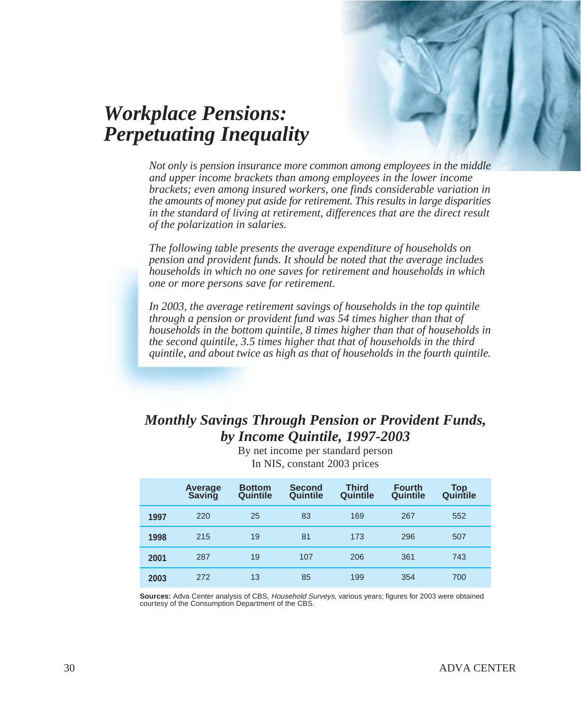

## *Workplace Pensions: Perpetuating Inequality*

*Not only is pension insurance more common among employees in the middle and upper income brackets than among employees in the lower income brackets; even among insured workers, one finds considerable variation in the amounts of money put aside for retirement. This results in large disparities in the standard of living at retirement, differences that are the direct result of the polarization in salaries.*

*The following table presents the average expenditure of households on pension and provident funds. It should be noted that the average includes households in which no one saves for retirement and households in which one or more persons save for retirement.*

*In 2003, the average retirement savings of households in the top quintile through a pension or provident fund was 54 times higher than that of households in the bottom quintile, 8 times higher than that of households in the second quintile, 3.5 times higher that that of households in the third quintile, and about twice as high as that of households in the fourth quintile.*

### *Monthly Savings Through Pension or Provident Funds, by Income Quintile, 1997-2003*

|      | Average<br>Saving | <b>Bottom</b><br>Quintile | <b>Second</b><br>Quintile | <b>Third</b><br>Quintile | <b>Fourth</b><br>Quintile | Top<br>Quintile |
|------|-------------------|---------------------------|---------------------------|--------------------------|---------------------------|-----------------|
| 1997 | 220               | 25                        | 83                        | 169                      | 267                       | 552             |
| 1998 | 215               | 19                        | 81                        | 173                      | 296                       | 507             |
| 2001 | 287               | 19                        | 107                       | 206                      | 361                       | 743             |
| 2003 | 272               | 13                        | 85                        | 199                      | 354                       | 700             |

By net income per standard person In NIS, constant 2003 prices

**Sources:** Adva Center analysis of CBS, Household Surveys, various years; figures for 2003 were obtained courtesy of the Consumption Department of the CBS.